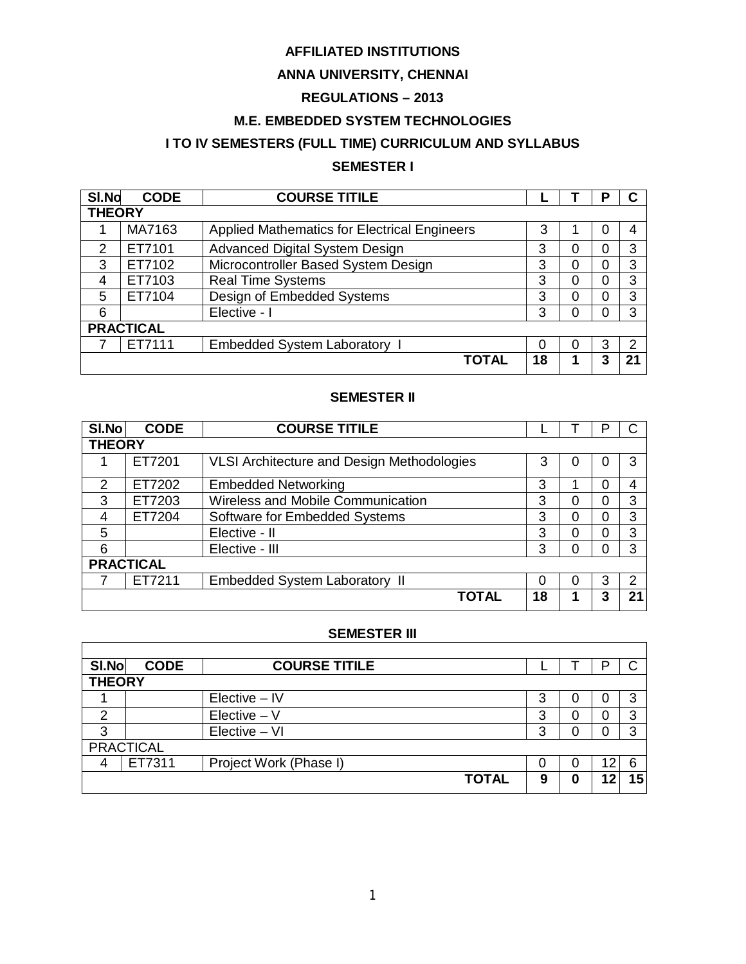# **AFFILIATED INSTITUTIONS**

# **ANNA UNIVERSITY, CHENNAI**

# **REGULATIONS – 2013**

# **M.E. EMBEDDED SYSTEM TECHNOLOGIES**

# **I TO IV SEMESTERS (FULL TIME) CURRICULUM AND SYLLABUS**

# **SEMESTER I**

| SI.No         | <b>COURSE TITILE</b><br><b>CODE</b> |                                                     |    | в |    |
|---------------|-------------------------------------|-----------------------------------------------------|----|---|----|
| <b>THEORY</b> |                                     |                                                     |    |   |    |
|               | MA7163                              | <b>Applied Mathematics for Electrical Engineers</b> | 3  |   | 4  |
| 2             | ET7101                              | <b>Advanced Digital System Design</b>               | 3  |   | 3  |
| 3             | ET7102                              | Microcontroller Based System Design                 | 3  |   | 3  |
| 4             | ET7103                              | <b>Real Time Systems</b>                            | 3  |   | 3  |
| 5             | ET7104                              | Design of Embedded Systems                          | 3  |   | 3  |
| 6             |                                     | Elective - I                                        | 3  |   | 3  |
|               | <b>PRACTICAL</b>                    |                                                     |    |   |    |
|               | ET7111                              | <b>Embedded System Laboratory</b>                   |    | 3 | 2  |
|               |                                     | <b>TOTAL</b>                                        | 18 | າ | 21 |

# **SEMESTER II**

| SI.No         | <b>CODE</b>      | <b>COURSE TITILE</b>                       |    |   |   |    |
|---------------|------------------|--------------------------------------------|----|---|---|----|
| <b>THEORY</b> |                  |                                            |    |   |   |    |
|               | ET7201           | VLSI Architecture and Design Methodologies | 3  |   |   | 3  |
| $\mathcal{P}$ | ET7202           | <b>Embedded Networking</b>                 | 3  |   |   | 4  |
| 3             | ET7203           | Wireless and Mobile Communication          | 3  |   |   | 3  |
| 4             | ET7204           | Software for Embedded Systems              | 3  | ი |   | 3  |
| 5             |                  | Elective - II                              | 3  | ი |   | 3  |
| 6             |                  | Elective - III                             | 3  |   |   | 3  |
|               | <b>PRACTICAL</b> |                                            |    |   |   |    |
|               | ET7211           | <b>Embedded System Laboratory II</b>       |    |   | 3 | っ  |
|               |                  | <b>TOTAL</b>                               | 18 |   | 3 | 21 |

#### **SEMESTER III**

| SI.No         | <b>CODE</b>      | <b>COURSE TITILE</b>   |   |    |    |
|---------------|------------------|------------------------|---|----|----|
| <b>THEORY</b> |                  |                        |   |    |    |
|               |                  | $Electric - IV$        | ≏ |    |    |
| ◠             |                  | $Elective - V$         | 3 |    |    |
| ◠             |                  | Elective - VI          | З |    |    |
|               | <b>PRACTICAL</b> |                        |   |    |    |
|               | ET7311           | Project Work (Phase I) |   | 12 |    |
|               |                  | <b>TOTAL</b>           | 9 | ົ  | 15 |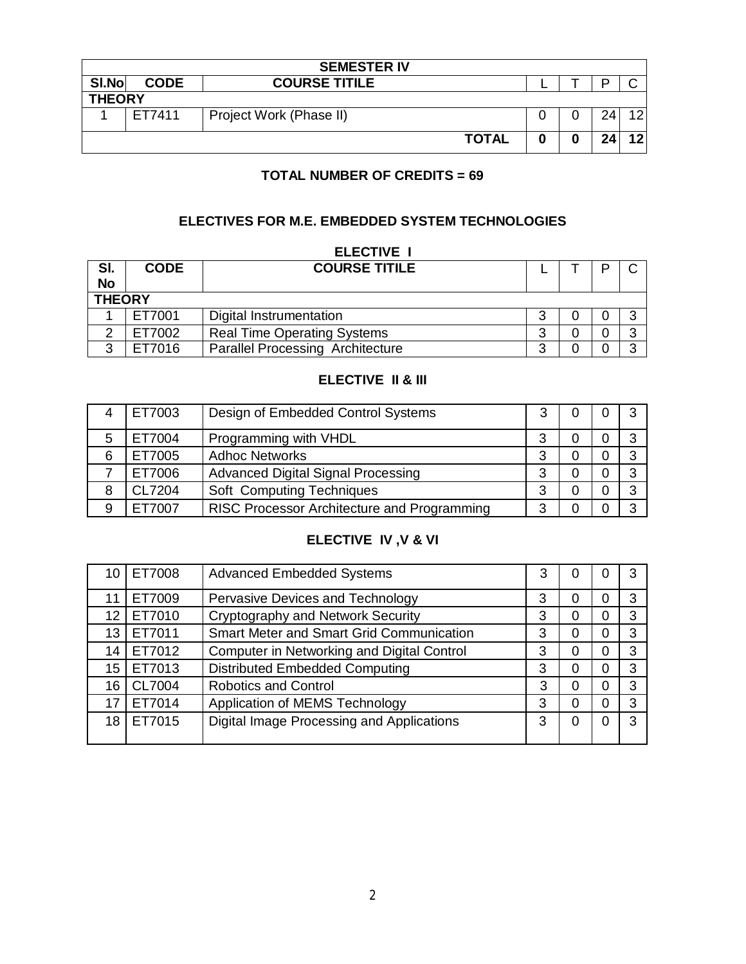|       | <b>SEMESTER IV</b> |                         |   |  |    |    |  |
|-------|--------------------|-------------------------|---|--|----|----|--|
| SI.No | <b>CODE</b>        | <b>COURSE TITILE</b>    |   |  |    |    |  |
|       | <b>THEORY</b>      |                         |   |  |    |    |  |
|       | ET7411             | Project Work (Phase II) |   |  |    | ィウ |  |
|       |                    | <b>TOTAL</b>            | 0 |  | 24 | 12 |  |

# **TOTAL NUMBER OF CREDITS = 69**

# **ELECTIVES FOR M.E. EMBEDDED SYSTEM TECHNOLOGIES**

|           | <b>ELECTIVE I</b> |                                         |   |  |  |   |
|-----------|-------------------|-----------------------------------------|---|--|--|---|
| SI.       | <b>CODE</b>       | <b>COURSE TITILE</b>                    |   |  |  |   |
| <b>No</b> |                   |                                         |   |  |  |   |
|           | <b>THEORY</b>     |                                         |   |  |  |   |
|           | ET7001            | Digital Instrumentation                 | я |  |  | റ |
| ⌒         | ET7002            | <b>Real Time Operating Systems</b>      | 3 |  |  | ົ |
| ≏         | ET7016            | <b>Parallel Processing Architecture</b> | າ |  |  | ົ |

# **ELECTIVE II & III**

|   | ET7003 | Design of Embedded Control Systems          |   |  | 2 |
|---|--------|---------------------------------------------|---|--|---|
|   | ET7004 | Programming with VHDL                       | າ |  | ົ |
| 6 | ET7005 | <b>Adhoc Networks</b>                       | ર |  | ົ |
|   | ET7006 | <b>Advanced Digital Signal Processing</b>   | າ |  | റ |
| 8 | CL7204 | Soft Computing Techniques                   | ર |  | ົ |
| 9 | 7007   | RISC Processor Architecture and Programming | າ |  | ົ |

# **ELECTIVE IV ,V & VI**

| 10 | ET7008        | <b>Advanced Embedded Systems</b>                |   |  | 3 |
|----|---------------|-------------------------------------------------|---|--|---|
|    | ET7009        | Pervasive Devices and Technology                | 3 |  | 3 |
| 12 | ET7010        | <b>Cryptography and Network Security</b>        | 3 |  | 3 |
| 13 | ET7011        | <b>Smart Meter and Smart Grid Communication</b> | 3 |  | 3 |
| 14 | ET7012        | Computer in Networking and Digital Control      | 3 |  | 3 |
| 15 | ET7013        | <b>Distributed Embedded Computing</b>           | З |  | 3 |
| 16 | <b>CL7004</b> | <b>Robotics and Control</b>                     | 3 |  | 3 |
| 17 | ET7014        | Application of MEMS Technology                  | 3 |  | 3 |
| 18 | ET7015        | Digital Image Processing and Applications       | З |  | 3 |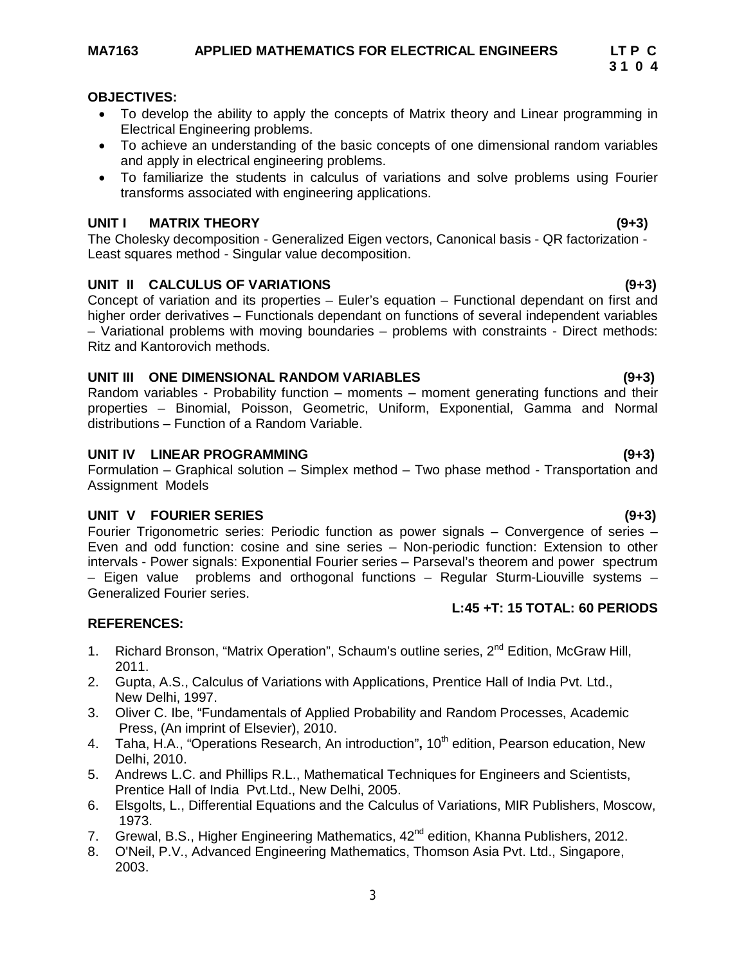- To develop the ability to apply the concepts of Matrix theory and Linear programming in Electrical Engineering problems.
- To achieve an understanding of the basic concepts of one dimensional random variables and apply in electrical engineering problems.
- To familiarize the students in calculus of variations and solve problems using Fourier transforms associated with engineering applications.

# **UNIT I MATRIX THEORY (9+3)**

The Cholesky decomposition - Generalized Eigen vectors, Canonical basis - QR factorization - Least squares method - Singular value decomposition.

# **UNIT II CALCULUS OF VARIATIONS (9+3)**

Concept of variation and its properties – Euler's equation – Functional dependant on first and higher order derivatives – Functionals dependant on functions of several independent variables – Variational problems with moving boundaries – problems with constraints - Direct methods: Ritz and Kantorovich methods.

# **UNIT III ONE DIMENSIONAL RANDOM VARIABLES (9+3)**

Random variables - Probability function – moments – moment generating functions and their properties – Binomial, Poisson, Geometric, Uniform, Exponential, Gamma and Normal distributions – Function of a Random Variable.

# **UNIT IV LINEAR PROGRAMMING (9+3)**

Formulation – Graphical solution – Simplex method – Two phase method - Transportation and Assignment Models

# **UNIT V FOURIER SERIES (9+3)**

Fourier Trigonometric series: Periodic function as power signals – Convergence of series – Even and odd function: cosine and sine series – Non-periodic function: Extension to other intervals - Power signals: Exponential Fourier series – Parseval's theorem and power spectrum – Eigen value problems and orthogonal functions – Regular Sturm-Liouville systems – Generalized Fourier series. **L:45 +T: 15 TOTAL: 60 PERIODS**

# **REFERENCES:**

- 1. Richard Bronson, "Matrix Operation", Schaum's outline series, 2<sup>nd</sup> Edition, McGraw Hill, 2011.
- 2. Gupta, A.S., Calculus of Variations with Applications, Prentice Hall of India Pvt. Ltd., New Delhi, 1997.
- 3. Oliver C. Ibe, "Fundamentals of Applied Probability and Random Processes, Academic Press, (An imprint of Elsevier), 2010.
- 4. Taha, H.A., "Operations Research, An introduction", 10<sup>th</sup> edition, Pearson education, New Delhi, 2010.
- 5. Andrews L.C. and Phillips R.L., Mathematical Techniques for Engineers and Scientists, Prentice Hall of India Pvt.Ltd., New Delhi, 2005.
- 6. Elsgolts, L., Differential Equations and the Calculus of Variations, MIR Publishers, Moscow, 1973.
- 7. Grewal, B.S., Higher Engineering Mathematics, 42<sup>nd</sup> edition, Khanna Publishers, 2012.
- 8. O'Neil, P.V., Advanced Engineering Mathematics, Thomson Asia Pvt. Ltd., Singapore, 2003.

# **3 1 0 4**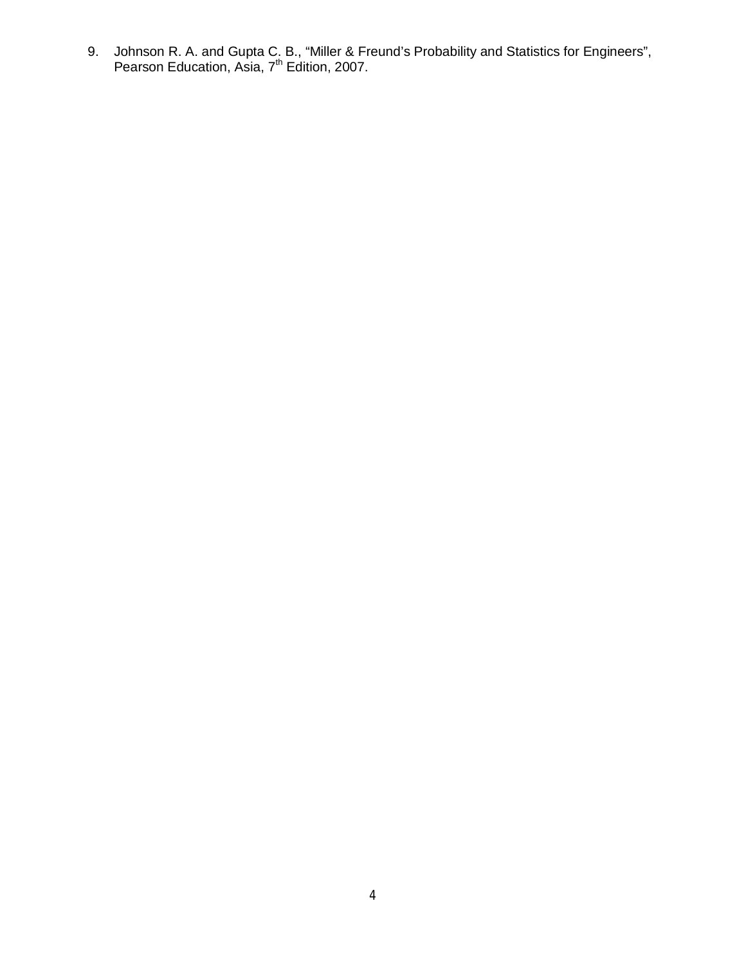9. Johnson R. A. and Gupta C. B., "Miller & Freund's Probability and Statistics for Engineers", Pearson Education, Asia, 7<sup>th</sup> Edition, 2007.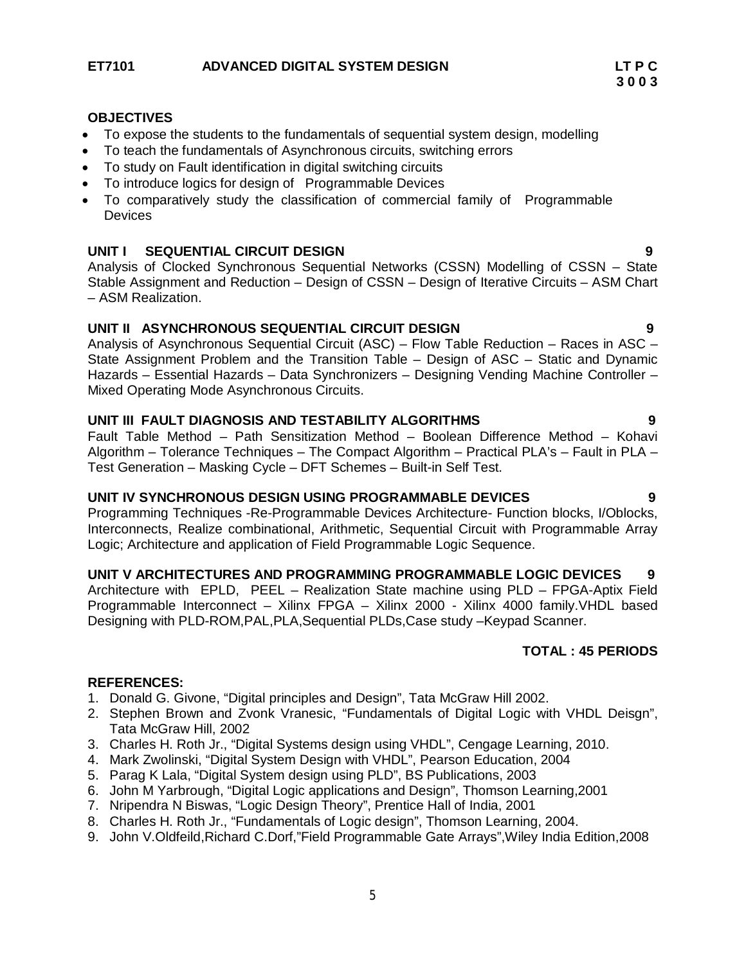- To expose the students to the fundamentals of sequential system design, modelling
- To teach the fundamentals of Asynchronous circuits, switching errors
- To study on Fault identification in digital switching circuits
- To introduce logics for design of Programmable Devices
- To comparatively study the classification of commercial family of Programmable **Devices**

# **UNIT I SEQUENTIAL CIRCUIT DESIGN 9**

Analysis of Clocked Synchronous Sequential Networks (CSSN) Modelling of CSSN – State Stable Assignment and Reduction – Design of CSSN – Design of Iterative Circuits – ASM Chart – ASM Realization.

### **UNIT II ASYNCHRONOUS SEQUENTIAL CIRCUIT DESIGN 9**

Analysis of Asynchronous Sequential Circuit (ASC) – Flow Table Reduction – Races in ASC – State Assignment Problem and the Transition Table – Design of ASC – Static and Dynamic Hazards – Essential Hazards – Data Synchronizers – Designing Vending Machine Controller – Mixed Operating Mode Asynchronous Circuits.

### **UNIT III FAULT DIAGNOSIS AND TESTABILITY ALGORITHMS 9**

Fault Table Method – Path Sensitization Method – Boolean Difference Method – Kohavi Algorithm – Tolerance Techniques – The Compact Algorithm – Practical PLA's – Fault in PLA – Test Generation – Masking Cycle – DFT Schemes – Built-in Self Test.

#### **UNIT IV SYNCHRONOUS DESIGN USING PROGRAMMABLE DEVICES 9**

Programming Techniques -Re-Programmable Devices Architecture- Function blocks, I/Oblocks, Interconnects, Realize combinational, Arithmetic, Sequential Circuit with Programmable Array Logic; Architecture and application of Field Programmable Logic Sequence.

### **UNIT V ARCHITECTURES AND PROGRAMMING PROGRAMMABLE LOGIC DEVICES 9**

Architecture with EPLD, PEEL – Realization State machine using PLD – FPGA-Aptix Field Programmable Interconnect – Xilinx FPGA – Xilinx 2000 - Xilinx 4000 family.VHDL based Designing with PLD-ROM,PAL,PLA,Sequential PLDs,Case study –Keypad Scanner.

# **TOTAL : 45 PERIODS**

- 1. Donald G. Givone, "Digital principles and Design", Tata McGraw Hill 2002.
- 2. Stephen Brown and Zvonk Vranesic, "Fundamentals of Digital Logic with VHDL Deisgn", Tata McGraw Hill, 2002
- 3. Charles H. Roth Jr., "Digital Systems design using VHDL", Cengage Learning, 2010.
- 4. Mark Zwolinski, "Digital System Design with VHDL", Pearson Education, 2004
- 5. Parag K Lala, "Digital System design using PLD", BS Publications, 2003
- 6. John M Yarbrough, "Digital Logic applications and Design", Thomson Learning,2001
- 7. Nripendra N Biswas, "Logic Design Theory", Prentice Hall of India, 2001
- 8. Charles H. Roth Jr., "Fundamentals of Logic design", Thomson Learning, 2004.
- 9. John V.Oldfeild,Richard C.Dorf,"Field Programmable Gate Arrays",Wiley India Edition,2008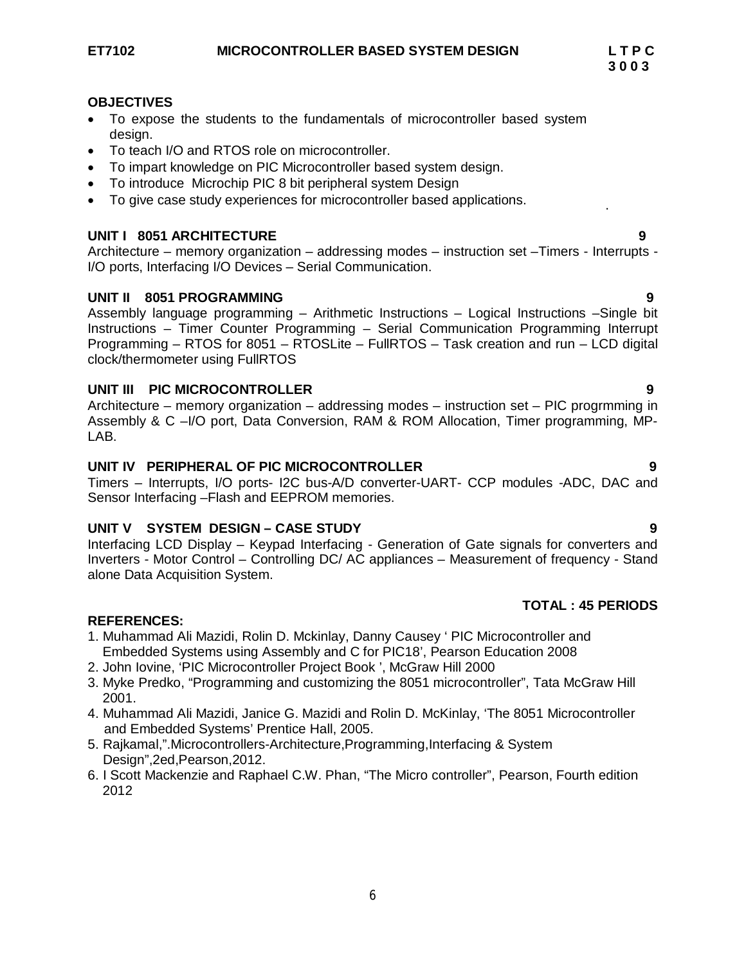- To expose the students to the fundamentals of microcontroller based system design.
- To teach I/O and RTOS role on microcontroller.
- To impart knowledge on PIC Microcontroller based system design.
- To introduce Microchip PIC 8 bit peripheral system Design
- To give case study experiences for microcontroller based applications.

# **UNIT I 8051 ARCHITECTURE 9**

Architecture – memory organization – addressing modes – instruction set –Timers - Interrupts - I/O ports, Interfacing I/O Devices – Serial Communication.

# **UNIT II 8051 PROGRAMMING 9**

Assembly language programming – Arithmetic Instructions – Logical Instructions –Single bit Instructions – Timer Counter Programming – Serial Communication Programming Interrupt Programming – RTOS for 8051 – RTOSLite – FullRTOS – Task creation and run – LCD digital clock/thermometer using FullRTOS

# **UNIT III PIC MICROCONTROLLER 9**

Architecture – memory organization – addressing modes – instruction set – PIC progrmming in Assembly & C –I/O port, Data Conversion, RAM & ROM Allocation, Timer programming, MP-LAB.

# **UNIT IV PERIPHERAL OF PIC MICROCONTROLLER 9**

Timers – Interrupts, I/O ports- I2C bus-A/D converter-UART- CCP modules -ADC, DAC and Sensor Interfacing –Flash and EEPROM memories.

# **UNIT V SYSTEM DESIGN – CASE STUDY 9**

Interfacing LCD Display – Keypad Interfacing - Generation of Gate signals for converters and Inverters - Motor Control – Controlling DC/ AC appliances – Measurement of frequency - Stand alone Data Acquisition System.

# **TOTAL : 45 PERIODS**

# **REFERENCES:**

- 1. Muhammad Ali Mazidi, Rolin D. Mckinlay, Danny Causey ' PIC Microcontroller and Embedded Systems using Assembly and C for PIC18', Pearson Education 2008
- 2. John Iovine, 'PIC Microcontroller Project Book ', McGraw Hill 2000
- 3. Myke Predko, "Programming and customizing the 8051 microcontroller", Tata McGraw Hill 2001.
- 4. Muhammad Ali Mazidi, Janice G. Mazidi and Rolin D. McKinlay, 'The 8051 Microcontroller and Embedded Systems' Prentice Hall, 2005.
- 5. Rajkamal,".Microcontrollers-Architecture,Programming,Interfacing & System Design",2ed,Pearson,2012.
- 6. I Scott Mackenzie and Raphael C.W. Phan, "The Micro controller", Pearson, Fourth edition 2012

.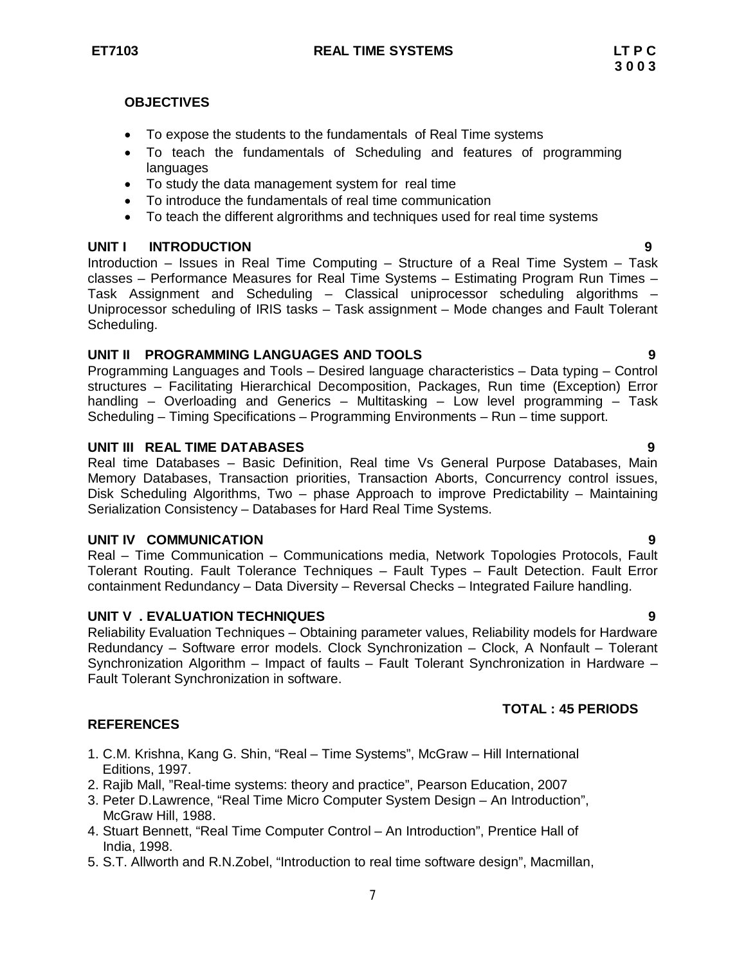- To expose the students to the fundamentals of Real Time systems
- To teach the fundamentals of Scheduling and features of programming languages
- To study the data management system for real time
- To introduce the fundamentals of real time communication
- To teach the different algrorithms and techniques used for real time systems

# **UNIT I INTRODUCTION 9**

Introduction – Issues in Real Time Computing – Structure of a Real Time System – Task classes – Performance Measures for Real Time Systems – Estimating Program Run Times – Task Assignment and Scheduling – Classical uniprocessor scheduling algorithms – Uniprocessor scheduling of IRIS tasks – Task assignment – Mode changes and Fault Tolerant Scheduling.

# **UNIT II PROGRAMMING LANGUAGES AND TOOLS 9**

Programming Languages and Tools – Desired language characteristics – Data typing – Control structures – Facilitating Hierarchical Decomposition, Packages, Run time (Exception) Error handling – Overloading and Generics – Multitasking – Low level programming – Task Scheduling – Timing Specifications – Programming Environments – Run – time support.

# **UNIT III REAL TIME DATABASES 9**

Real time Databases – Basic Definition, Real time Vs General Purpose Databases, Main Memory Databases, Transaction priorities, Transaction Aborts, Concurrency control issues, Disk Scheduling Algorithms, Two – phase Approach to improve Predictability – Maintaining Serialization Consistency – Databases for Hard Real Time Systems.

# **UNIT IV COMMUNICATION 9**

Real – Time Communication – Communications media, Network Topologies Protocols, Fault Tolerant Routing. Fault Tolerance Techniques – Fault Types – Fault Detection. Fault Error containment Redundancy – Data Diversity – Reversal Checks – Integrated Failure handling.

# **UNIT V . EVALUATION TECHNIQUES 9**

Reliability Evaluation Techniques – Obtaining parameter values, Reliability models for Hardware Redundancy – Software error models. Clock Synchronization – Clock, A Nonfault – Tolerant Synchronization Algorithm – Impact of faults – Fault Tolerant Synchronization in Hardware – Fault Tolerant Synchronization in software.

# **TOTAL : 45 PERIODS**

- 1. C.M. Krishna, Kang G. Shin, "Real Time Systems", McGraw Hill International Editions, 1997.
- 2. Rajib Mall, "Real-time systems: theory and practice", Pearson Education, 2007
- 3. Peter D.Lawrence, "Real Time Micro Computer System Design An Introduction", McGraw Hill, 1988.
- 4. Stuart Bennett, "Real Time Computer Control An Introduction", Prentice Hall of India, 1998.
- 5. S.T. Allworth and R.N.Zobel, "Introduction to real time software design", Macmillan,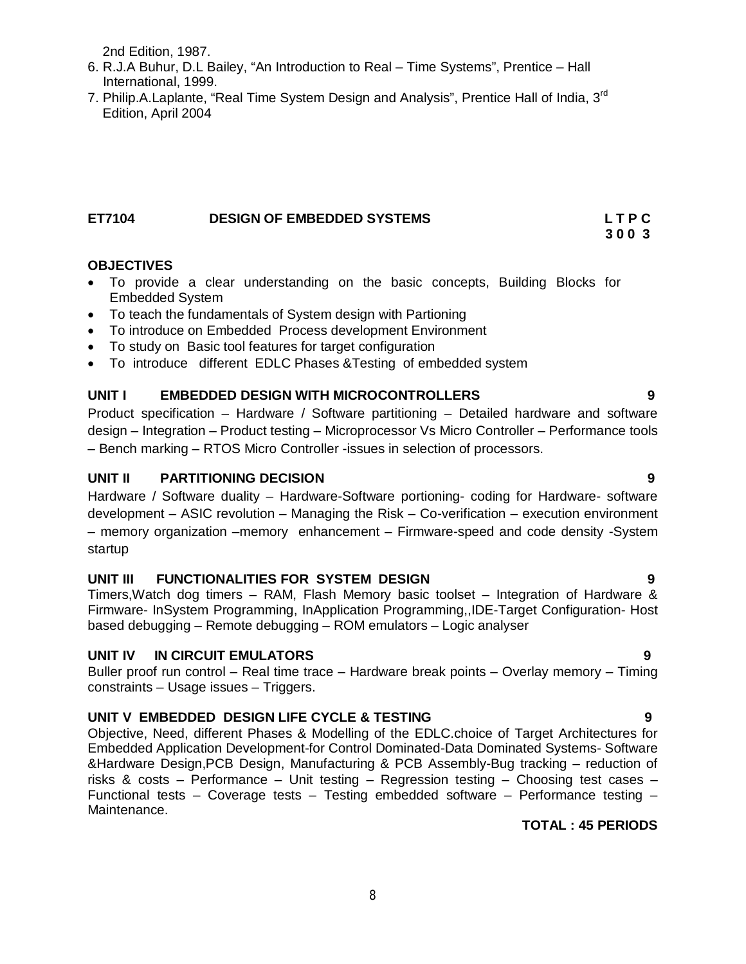2nd Edition, 1987.

- 6. R.J.A Buhur, D.L Bailey, "An Introduction to Real Time Systems", Prentice Hall International, 1999.
- 7. Philip.A.Laplante, "Real Time System Design and Analysis", Prentice Hall of India, 3<sup>rd</sup> Edition, April 2004

# **ET7104 DESIGN OF EMBEDDED SYSTEMS L T P C**

### **OBJECTIVES**

- To provide a clear understanding on the basic concepts, Building Blocks for Embedded System
- To teach the fundamentals of System design with Partioning
- To introduce on Embedded Process development Environment
- To study on Basic tool features for target configuration
- To introduce different EDLC Phases &Testing of embedded system

### **UNIT I EMBEDDED DESIGN WITH MICROCONTROLLERS 9**

Product specification – Hardware / Software partitioning – Detailed hardware and software design – Integration – Product testing – Microprocessor Vs Micro Controller – Performance tools – Bench marking – RTOS Micro Controller -issues in selection of processors.

### **UNIT II PARTITIONING DECISION 9**

Hardware / Software duality – Hardware-Software portioning- coding for Hardware- software development – ASIC revolution – Managing the Risk – Co-verification – execution environment – memory organization –memory enhancement – Firmware-speed and code density -System startup

# **UNIT III FUNCTIONALITIES FOR SYSTEM DESIGN 9**

Timers,Watch dog timers – RAM, Flash Memory basic toolset – Integration of Hardware & Firmware- InSystem Programming, InApplication Programming,,IDE-Target Configuration- Host based debugging – Remote debugging – ROM emulators – Logic analyser

#### **UNIT IV IN CIRCUIT EMULATORS 9**

Buller proof run control – Real time trace – Hardware break points – Overlay memory – Timing constraints – Usage issues – Triggers.

# **UNIT V EMBEDDED DESIGN LIFE CYCLE & TESTING 9**

Objective, Need, different Phases & Modelling of the EDLC.choice of Target Architectures for Embedded Application Development-for Control Dominated-Data Dominated Systems- Software &Hardware Design,PCB Design, Manufacturing & PCB Assembly-Bug tracking – reduction of risks & costs – Performance – Unit testing – Regression testing – Choosing test cases – Functional tests – Coverage tests – Testing embedded software – Performance testing – Maintenance.

# **TOTAL : 45 PERIODS**

# **3 0 0 3**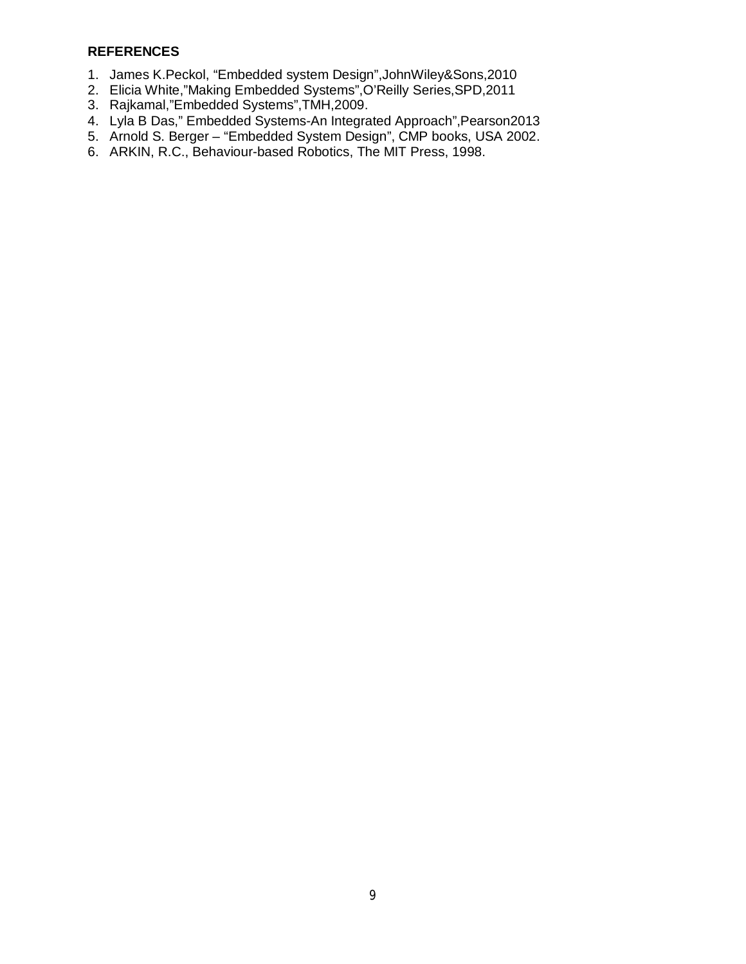- 1. James K.Peckol, "Embedded system Design",JohnWiley&Sons,2010
- 2. Elicia White,"Making Embedded Systems",O'Reilly Series,SPD,2011
- 3. Rajkamal,"Embedded Systems",TMH,2009.
- 4. Lyla B Das," Embedded Systems-An Integrated Approach",Pearson2013
- 5. Arnold S. Berger "Embedded System Design", CMP books, USA 2002.
- 6. ARKIN, R.C., Behaviour-based Robotics, The MIT Press, 1998.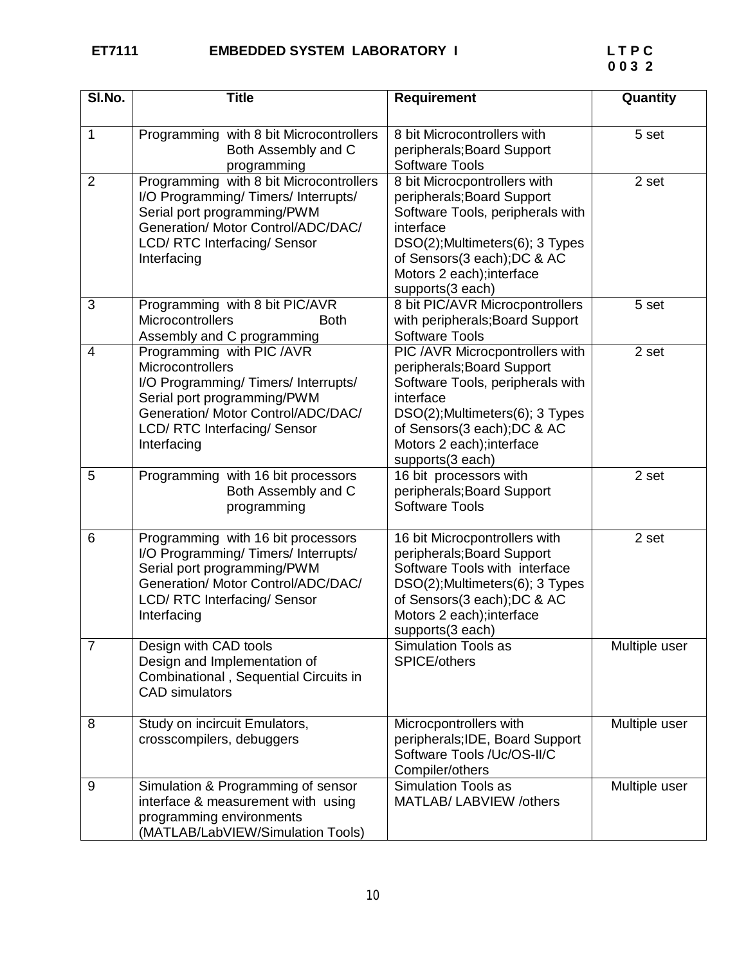| SI.No.         | <b>Title</b>                                                                                                                                                                                             | <b>Requirement</b>                                                                                                                                                                                                                | Quantity      |
|----------------|----------------------------------------------------------------------------------------------------------------------------------------------------------------------------------------------------------|-----------------------------------------------------------------------------------------------------------------------------------------------------------------------------------------------------------------------------------|---------------|
| $\mathbf{1}$   | Programming with 8 bit Microcontrollers<br>Both Assembly and C<br>programming                                                                                                                            | 8 bit Microcontrollers with<br>peripherals; Board Support<br><b>Software Tools</b>                                                                                                                                                | 5 set         |
| $\overline{2}$ | Programming with 8 bit Microcontrollers<br>I/O Programming/Timers/Interrupts/<br>Serial port programming/PWM<br>Generation/ Motor Control/ADC/DAC/<br><b>LCD/ RTC Interfacing/ Sensor</b><br>Interfacing | 8 bit Microcpontrollers with<br>peripherals; Board Support<br>Software Tools, peripherals with<br>interface<br>DSO(2);Multimeters(6); 3 Types<br>of Sensors(3 each); DC & AC<br>Motors 2 each); interface<br>supports(3 each)     | 2 set         |
| 3              | Programming with 8 bit PIC/AVR<br>Microcontrollers<br><b>Both</b><br>Assembly and C programming                                                                                                          | 8 bit PIC/AVR Microcpontrollers<br>with peripherals; Board Support<br><b>Software Tools</b>                                                                                                                                       | 5 set         |
| 4              | Programming with PIC /AVR<br>Microcontrollers<br>I/O Programming/Timers/Interrupts/<br>Serial port programming/PWM<br>Generation/ Motor Control/ADC/DAC/<br>LCD/ RTC Interfacing/ Sensor<br>Interfacing  | PIC /AVR Microcpontrollers with<br>peripherals; Board Support<br>Software Tools, peripherals with<br>interface<br>DSO(2); Multimeters(6); 3 Types<br>of Sensors(3 each); DC & AC<br>Motors 2 each); interface<br>supports(3 each) | 2 set         |
| 5              | Programming with 16 bit processors<br>Both Assembly and C<br>programming                                                                                                                                 | 16 bit processors with<br>peripherals; Board Support<br><b>Software Tools</b>                                                                                                                                                     | 2 set         |
| 6              | Programming with 16 bit processors<br>I/O Programming/Timers/Interrupts/<br>Serial port programming/PWM<br>Generation/ Motor Control/ADC/DAC/<br>LCD/ RTC Interfacing/ Sensor<br>Interfacing             | 16 bit Microcpontrollers with<br>peripherals; Board Support<br>Software Tools with interface<br>DSO(2); Multimeters(6); 3 Types<br>of Sensors(3 each); DC & AC<br>Motors 2 each); interface<br>supports(3 each)                   | 2 set         |
| $\overline{7}$ | Design with CAD tools<br>Design and Implementation of<br>Combinational, Sequential Circuits in<br><b>CAD</b> simulators                                                                                  | <b>Simulation Tools as</b><br>SPICE/others                                                                                                                                                                                        | Multiple user |
| 8              | Study on incircuit Emulators,<br>crosscompilers, debuggers                                                                                                                                               | Microcpontrollers with<br>peripherals; IDE, Board Support<br>Software Tools /Uc/OS-II/C<br>Compiler/others                                                                                                                        | Multiple user |
| 9              | Simulation & Programming of sensor<br>interface & measurement with using<br>programming environments<br>(MATLAB/LabVIEW/Simulation Tools)                                                                | <b>Simulation Tools as</b><br>MATLAB/LABVIEW /others                                                                                                                                                                              | Multiple user |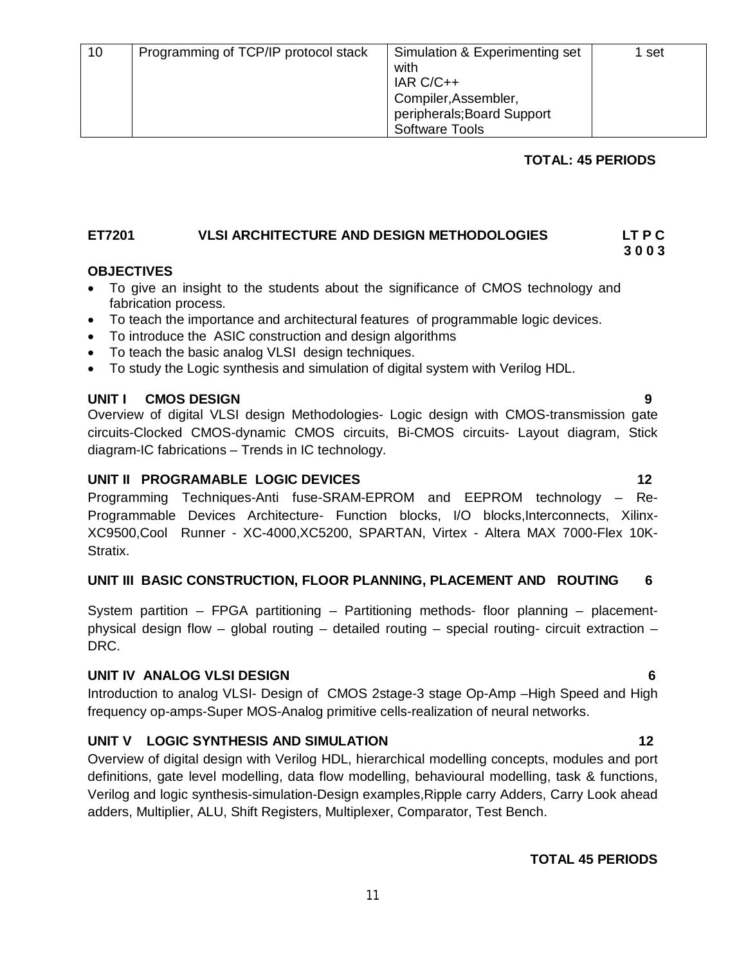# **TOTAL: 45 PERIODS**

## **ET7201****VLSI ARCHITECTURE AND DESIGN METHODOLOGIES LT P C 3 0 0 3**

### **OBJECTIVES**

- To give an insight to the students about the significance of CMOS technology and fabrication process.
- To teach the importance and architectural features of programmable logic devices.
- To introduce the ASIC construction and design algorithms
- To teach the basic analog VLSI design techniques.
- To study the Logic synthesis and simulation of digital system with Verilog HDL.

#### **UNIT I CMOS DESIGN 9**

Overview of digital VLSI design Methodologies- Logic design with CMOS-transmission gate circuits-Clocked CMOS-dynamic CMOS circuits, Bi-CMOS circuits- Layout diagram, Stick diagram-IC fabrications – Trends in IC technology.

#### **UNIT II PROGRAMABLE LOGIC DEVICES** 12

Programming Techniques-Anti fuse-SRAM-EPROM and EEPROM technology – Re-Programmable Devices Architecture- Function blocks, I/O blocks, Interconnects, Xilinx-XC9500,Cool Runner - XC-4000,XC5200, SPARTAN, Virtex - Altera MAX 7000-Flex 10K-Stratix.

#### **UNIT III BASIC CONSTRUCTION, FLOOR PLANNING, PLACEMENT AND ROUTING 6**

System partition – FPGA partitioning – Partitioning methods- floor planning – placementphysical design flow – global routing – detailed routing – special routing- circuit extraction – DRC.

#### **UNIT IV ANALOG VLSI DESIGN 6**

Introduction to analog VLSI- Design of CMOS 2stage-3 stage Op-Amp –High Speed and High frequency op-amps-Super MOS-Analog primitive cells-realization of neural networks.

# **UNIT V LOGIC SYNTHESIS AND SIMULATION 12**

Overview of digital design with Verilog HDL, hierarchical modelling concepts, modules and port definitions, gate level modelling, data flow modelling, behavioural modelling, task & functions, Verilog and logic synthesis-simulation-Design examples,Ripple carry Adders, Carry Look ahead adders, Multiplier, ALU, Shift Registers, Multiplexer, Comparator, Test Bench.

#### **TOTAL 45 PERIODS**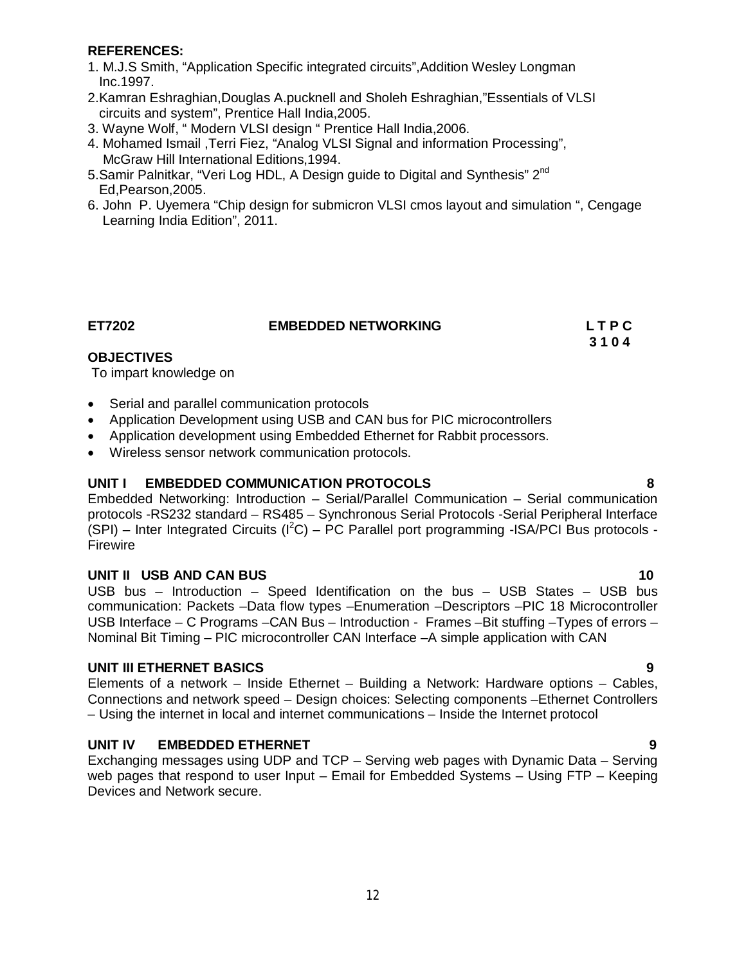#### **REFERENCES:**

- 1. M.J.S Smith, "Application Specific integrated circuits",Addition Wesley Longman Inc.1997.
- 2.Kamran Eshraghian,Douglas A.pucknell and Sholeh Eshraghian,"Essentials of VLSI circuits and system", Prentice Hall India,2005.
- 3. Wayne Wolf, " Modern VLSI design " Prentice Hall India,2006.
- 4. Mohamed Ismail ,Terri Fiez, "Analog VLSI Signal and information Processing", McGraw Hill International Editions,1994.
- 5.Samir Palnitkar, "Veri Log HDL, A Design guide to Digital and Synthesis" 2<sup>nd</sup> Ed,Pearson,2005.
- 6. John P. Uyemera "Chip design for submicron VLSI cmos layout and simulation ", Cengage Learning India Edition", 2011.

**ET7202 EMBEDDED NETWORKING L T P C** 

 **3 1 0 4**

# **OBJECTIVES**

To impart knowledge on

- Serial and parallel communication protocols
- Application Development using USB and CAN bus for PIC microcontrollers
- Application development using Embedded Ethernet for Rabbit processors.
- Wireless sensor network communication protocols.

# **UNIT I EMBEDDED COMMUNICATION PROTOCOLS 8**

Embedded Networking: Introduction – Serial/Parallel Communication – Serial communication protocols -RS232 standard – RS485 – Synchronous Serial Protocols -Serial Peripheral Interface  $(SPI)$  – Inter Integrated Circuits ( $I^2C$ ) – PC Parallel port programming -ISA/PCI Bus protocols -Firewire

# **UNIT II USB AND CAN BUS** 10

USB bus – Introduction – Speed Identification on the bus – USB States – USB bus communication: Packets –Data flow types –Enumeration –Descriptors –PIC 18 Microcontroller USB Interface – C Programs –CAN Bus – Introduction - Frames –Bit stuffing –Types of errors – Nominal Bit Timing – PIC microcontroller CAN Interface –A simple application with CAN

# **UNIT III ETHERNET BASICS 9**

Elements of a network – Inside Ethernet – Building a Network: Hardware options – Cables, Connections and network speed – Design choices: Selecting components –Ethernet Controllers – Using the internet in local and internet communications – Inside the Internet protocol

# **UNIT IV EMBEDDED ETHERNET 9**

Exchanging messages using UDP and TCP – Serving web pages with Dynamic Data – Serving web pages that respond to user Input – Email for Embedded Systems – Using FTP – Keeping Devices and Network secure.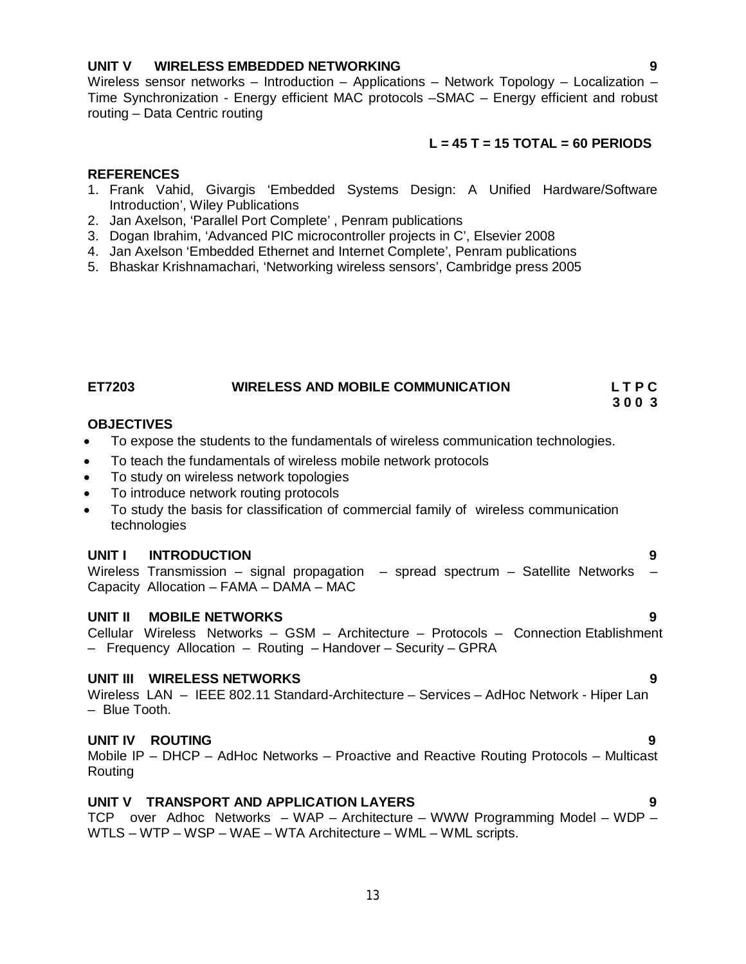# **UNIT V WIRELESS EMBEDDED NETWORKING 9**

Wireless sensor networks – Introduction – Applications – Network Topology – Localization – Time Synchronization - Energy efficient MAC protocols –SMAC – Energy efficient and robust routing – Data Centric routing

### **L = 45 T = 15 TOTAL = 60 PERIODS**

#### **REFERENCES**

- 1. Frank Vahid, Givargis 'Embedded Systems Design: A Unified Hardware/Software Introduction', Wiley Publications
- 2. Jan Axelson, 'Parallel Port Complete' , Penram publications
- 3. Dogan Ibrahim, 'Advanced PIC microcontroller projects in C', Elsevier 2008
- 4. Jan Axelson 'Embedded Ethernet and Internet Complete', Penram publications
- 5. Bhaskar Krishnamachari, 'Networking wireless sensors', Cambridge press 2005

**ET7203 WIRELESS AND MOBILE COMMUNICATION L T P C 3 0 0 3**

#### **OBJECTIVES**

- To expose the students to the fundamentals of wireless communication technologies.
- To teach the fundamentals of wireless mobile network protocols
- To study on wireless network topologies
- To introduce network routing protocols
- To study the basis for classification of commercial family of wireless communication technologies

#### **UNIT I INTRODUCTION 9**

Wireless Transmission – signal propagation – spread spectrum – Satellite Networks Capacity Allocation – FAMA – DAMA – MAC

#### **UNIT II MOBILE NETWORKS 9**

Cellular Wireless Networks – GSM – Architecture – Protocols – Connection Etablishment – Frequency Allocation – Routing – Handover – Security – GPRA

#### **UNIT III WIRELESS NETWORKS 9**

Wireless LAN – IEEE 802.11 Standard-Architecture – Services – AdHoc Network - Hiper Lan – Blue Tooth.

#### **UNIT IV ROUTING 9**

Mobile IP – DHCP – AdHoc Networks – Proactive and Reactive Routing Protocols – Multicast Routing

### **UNIT V TRANSPORT AND APPLICATION LAYERS 9**

TCP over Adhoc Networks – WAP – Architecture – WWW Programming Model – WDP – WTLS – WTP – WSP – WAE – WTA Architecture – WML – WML scripts.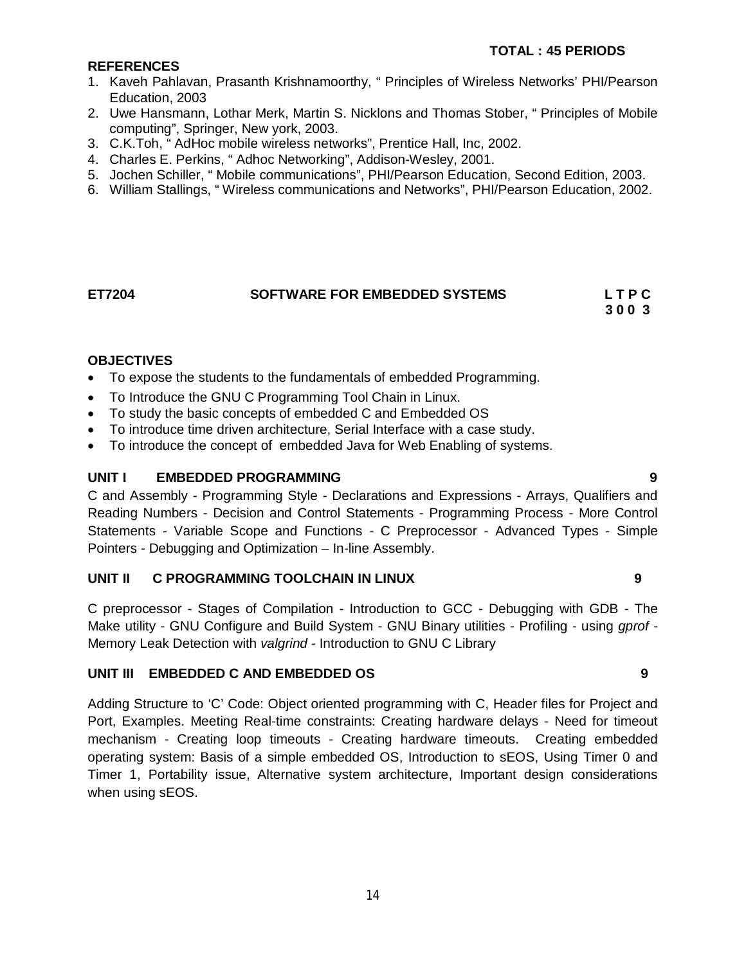# **REFERENCES**

- 1. Kaveh Pahlavan, Prasanth Krishnamoorthy, " Principles of Wireless Networks' PHI/Pearson Education, 2003
- 2. Uwe Hansmann, Lothar Merk, Martin S. Nicklons and Thomas Stober, " Principles of Mobile computing", Springer, New york, 2003.
- 3. C.K.Toh, " AdHoc mobile wireless networks", Prentice Hall, Inc, 2002.
- 4. Charles E. Perkins, " Adhoc Networking", Addison-Wesley, 2001.
- 5. Jochen Schiller, " Mobile communications", PHI/Pearson Education, Second Edition, 2003.
- 6. William Stallings, " Wireless communications and Networks", PHI/Pearson Education, 2002.

# **ET7204 SOFTWARE FOR EMBEDDED SYSTEMS L T P C 3 0 0 3**

### **OBJECTIVES**

- To expose the students to the fundamentals of embedded Programming.
- To Introduce the GNU C Programming Tool Chain in Linux.
- To study the basic concepts of embedded C and Embedded OS
- To introduce time driven architecture, Serial Interface with a case study.
- To introduce the concept of embedded Java for Web Enabling of systems.

### **UNIT I EMBEDDED PROGRAMMING 9**

C and Assembly - Programming Style - Declarations and Expressions - Arrays, Qualifiers and Reading Numbers - Decision and Control Statements - Programming Process - More Control Statements - Variable Scope and Functions - C Preprocessor - Advanced Types - Simple Pointers - Debugging and Optimization – In-line Assembly.

#### **UNIT II C PROGRAMMING TOOLCHAIN IN LINUX 9**

C preprocessor - Stages of Compilation - Introduction to GCC - Debugging with GDB - The Make utility - GNU Configure and Build System - GNU Binary utilities - Profiling - using *gprof* - Memory Leak Detection with *valgrind* - Introduction to GNU C Library

#### **UNIT III EMBEDDED C AND EMBEDDED OS 9**

Adding Structure to 'C' Code: Object oriented programming with C, Header files for Project and Port, Examples. Meeting Real-time constraints: Creating hardware delays - Need for timeout mechanism - Creating loop timeouts - Creating hardware timeouts. Creating embedded operating system: Basis of a simple embedded OS, Introduction to sEOS, Using Timer 0 and Timer 1, Portability issue, Alternative system architecture, Important design considerations when using sEOS.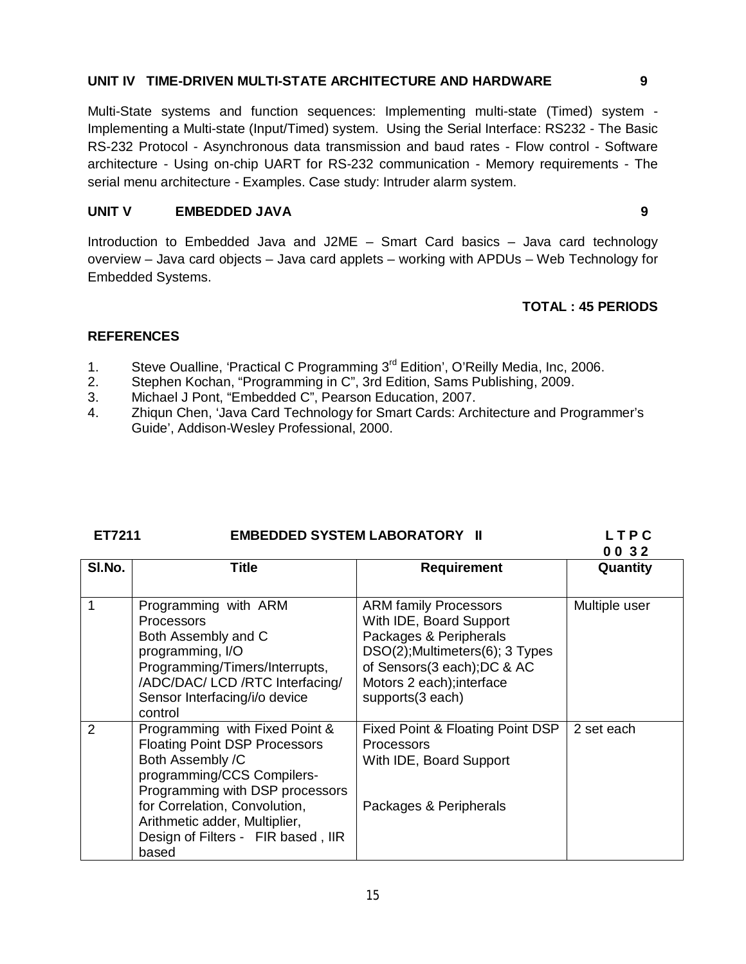### **UNIT IV TIME-DRIVEN MULTI-STATE ARCHITECTURE AND HARDWARE 9**

Multi-State systems and function sequences: Implementing multi-state (Timed) system - Implementing a Multi-state (Input/Timed) system. Using the Serial Interface: RS232 - The Basic RS-232 Protocol - Asynchronous data transmission and baud rates - Flow control - Software architecture - Using on-chip UART for RS-232 communication - Memory requirements - The serial menu architecture - Examples. Case study: Intruder alarm system.

### **UNIT V EMBEDDED JAVA 9**

Introduction to Embedded Java and J2ME – Smart Card basics – Java card technology overview – Java card objects – Java card applets – working with APDUs – Web Technology for Embedded Systems.

### **TOTAL : 45 PERIODS**

- 1. Steve Oualline, 'Practical C Programming 3<sup>rd</sup> Edition', O'Reilly Media, Inc, 2006.
- 2. Stephen Kochan, "Programming in C", 3rd Edition, Sams Publishing, 2009.
- 3. Michael J Pont, "Embedded C", Pearson Education, 2007.
- 4. Zhiqun Chen, 'Java Card Technology for Smart Cards: Architecture and Programmer's Guide', Addison-Wesley Professional, 2000.

| ET7211 | <b>EMBEDDED SYSTEM LABORATORY II</b> | LTPC |
|--------|--------------------------------------|------|
|        |                                      |      |

|        |                                                                                                                                                                                                                                                                                         |                                                                                                                                                                                                      | 0032          |
|--------|-----------------------------------------------------------------------------------------------------------------------------------------------------------------------------------------------------------------------------------------------------------------------------------------|------------------------------------------------------------------------------------------------------------------------------------------------------------------------------------------------------|---------------|
| SI.No. | Title                                                                                                                                                                                                                                                                                   | <b>Requirement</b>                                                                                                                                                                                   | Quantity      |
|        | Programming with ARM<br><b>Processors</b><br>Both Assembly and C<br>programming, I/O<br>Programming/Timers/Interrupts,<br>/ADC/DAC/ LCD /RTC Interfacing/<br>Sensor Interfacing/i/o device                                                                                              | <b>ARM family Processors</b><br>With IDE, Board Support<br>Packages & Peripherals<br>DSO(2); Multimeters(6); 3 Types<br>of Sensors(3 each); DC & AC<br>Motors 2 each); interface<br>supports(3 each) | Multiple user |
| 2      | control<br>Programming with Fixed Point &<br><b>Floating Point DSP Processors</b><br>Both Assembly /C<br>programming/CCS Compilers-<br>Programming with DSP processors<br>for Correlation, Convolution,<br>Arithmetic adder, Multiplier,<br>Design of Filters - FIR based, IIR<br>based | Fixed Point & Floating Point DSP<br><b>Processors</b><br>With IDE, Board Support<br>Packages & Peripherals                                                                                           | 2 set each    |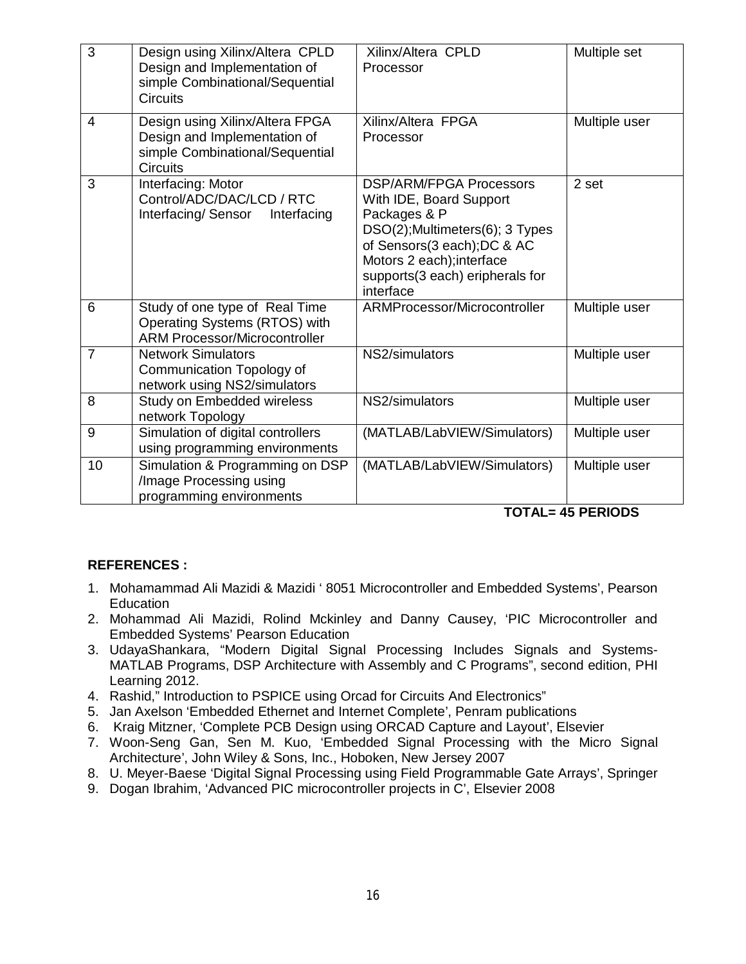| 3              | Design using Xilinx/Altera CPLD<br>Design and Implementation of<br>simple Combinational/Sequential<br><b>Circuits</b> | Xilinx/Altera CPLD<br>Processor                                                                                                                                                                                         | Multiple set  |
|----------------|-----------------------------------------------------------------------------------------------------------------------|-------------------------------------------------------------------------------------------------------------------------------------------------------------------------------------------------------------------------|---------------|
| $\overline{4}$ | Design using Xilinx/Altera FPGA<br>Design and Implementation of<br>simple Combinational/Sequential<br><b>Circuits</b> | Xilinx/Altera FPGA<br>Processor                                                                                                                                                                                         | Multiple user |
| 3              | Interfacing: Motor<br>Control/ADC/DAC/LCD / RTC<br>Interfacing/Sensor<br>Interfacing                                  | <b>DSP/ARM/FPGA Processors</b><br>With IDE, Board Support<br>Packages & P<br>DSO(2);Multimeters(6); 3 Types<br>of Sensors(3 each); DC & AC<br>Motors 2 each); interface<br>supports(3 each) eripherals for<br>interface | 2 set         |
| 6              | Study of one type of Real Time<br>Operating Systems (RTOS) with<br><b>ARM Processor/Microcontroller</b>               | ARMProcessor/Microcontroller                                                                                                                                                                                            | Multiple user |
| $\overline{7}$ | <b>Network Simulators</b><br>Communication Topology of<br>network using NS2/simulators                                | NS2/simulators                                                                                                                                                                                                          | Multiple user |
| 8              | Study on Embedded wireless<br>network Topology                                                                        | NS2/simulators                                                                                                                                                                                                          | Multiple user |
| 9              | Simulation of digital controllers<br>using programming environments                                                   | (MATLAB/LabVIEW/Simulators)                                                                                                                                                                                             | Multiple user |
| 10             | Simulation & Programming on DSP<br>/Image Processing using<br>programming environments                                | (MATLAB/LabVIEW/Simulators)                                                                                                                                                                                             | Multiple user |

# **TOTAL= 45 PERIODS**

- 1. Mohamammad Ali Mazidi & Mazidi ' 8051 Microcontroller and Embedded Systems', Pearson **Education**
- 2. Mohammad Ali Mazidi, Rolind Mckinley and Danny Causey, 'PIC Microcontroller and Embedded Systems' Pearson Education
- 3. UdayaShankara, "Modern Digital Signal Processing Includes Signals and Systems-MATLAB Programs, DSP Architecture with Assembly and C Programs", second edition, PHI Learning 2012.
- 4. Rashid," Introduction to PSPICE using Orcad for Circuits And Electronics"
- 5. Jan Axelson 'Embedded Ethernet and Internet Complete', Penram publications
- 6. Kraig Mitzner, 'Complete PCB Design using ORCAD Capture and Layout', Elsevier
- 7. Woon-Seng Gan, Sen M. Kuo, 'Embedded Signal Processing with the Micro Signal Architecture', John Wiley & Sons, Inc., Hoboken, New Jersey 2007
- 8. U. Meyer-Baese 'Digital Signal Processing using Field Programmable Gate Arrays', Springer
- 9. Dogan Ibrahim, 'Advanced PIC microcontroller projects in C', Elsevier 2008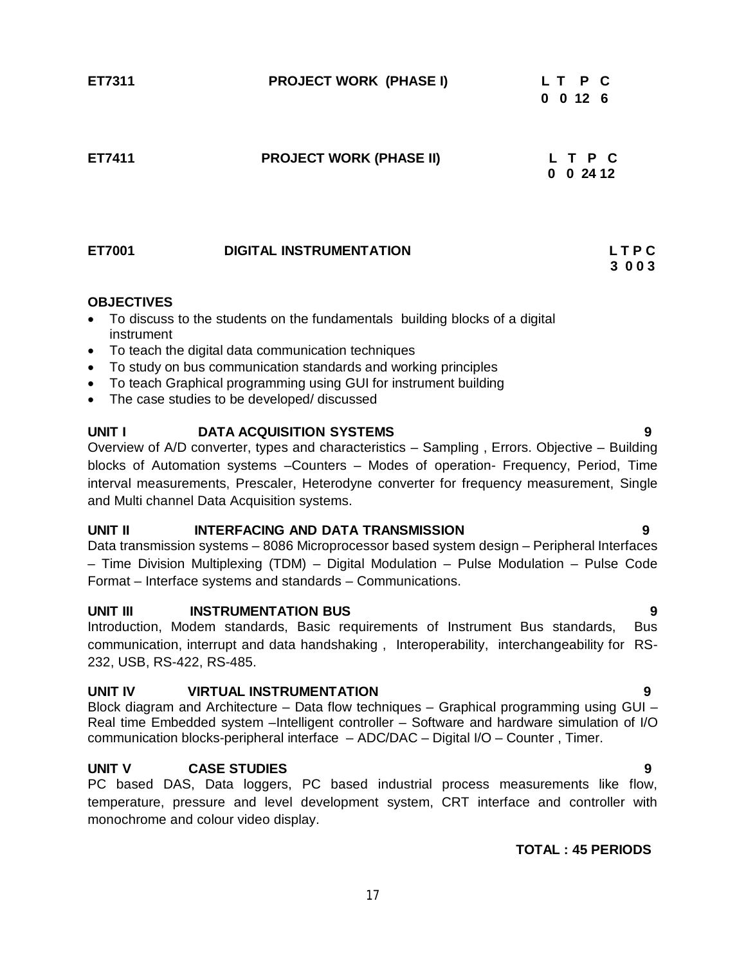| ET7311            | <b>PROJECT WORK (PHASE I)</b>                                                 | LT P C<br>$0 \t0 \t12 \t6$ |
|-------------------|-------------------------------------------------------------------------------|----------------------------|
| ET7411            | <b>PROJECT WORK (PHASE II)</b>                                                | T P C<br>$0 \t0 \t24 \t12$ |
| ET7001            | <b>DIGITAL INSTRUMENTATION</b>                                                | LTPC<br>3003               |
| <b>OBJECTIVES</b> | • To discuss to the students on the fundamentals building blocks of a digital |                            |

- To discuss to the students on the fundamentals building blocks of a digital instrument
- To teach the digital data communication techniques
- To study on bus communication standards and working principles
- To teach Graphical programming using GUI for instrument building
- The case studies to be developed/ discussed

# **UNIT I DATA ACQUISITION SYSTEMS**

Overview of A/D converter, types and characteristics – Sampling , Errors. Objective – Building blocks of Automation systems –Counters – Modes of operation- Frequency, Period, Time interval measurements, Prescaler, Heterodyne converter for frequency measurement, Single and Multi channel Data Acquisition systems.

#### **UNIT II INTERFACING AND DATA TRANSMISSION 9**

Data transmission systems – 8086 Microprocessor based system design – Peripheral Interfaces – Time Division Multiplexing (TDM) – Digital Modulation – Pulse Modulation – Pulse Code Format – Interface systems and standards – Communications.

#### **UNIT III** INSTRUMENTATION BUS 9

Introduction, Modem standards, Basic requirements of Instrument Bus standards, Bus communication, interrupt and data handshaking , Interoperability, interchangeability for RS-232, USB, RS-422, RS-485.

# **UNIT IV VIRTUAL INSTRUMENTATION 9**

Block diagram and Architecture – Data flow techniques – Graphical programming using GUI – Real time Embedded system –Intelligent controller – Software and hardware simulation of I/O communication blocks-peripheral interface – ADC/DAC – Digital I/O – Counter , Timer.

# **UNIT V CASE STUDIES 9**

PC based DAS, Data loggers, PC based industrial process measurements like flow, temperature, pressure and level development system, CRT interface and controller with monochrome and colour video display.

# **TOTAL : 45 PERIODS**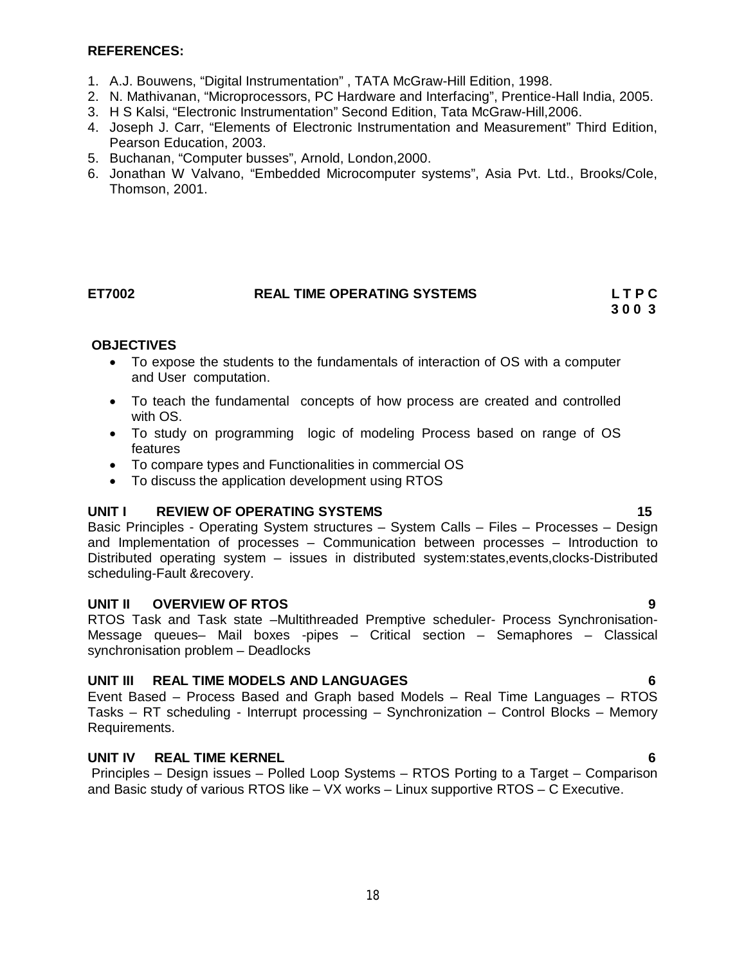#### **REFERENCES:**

- 1. A.J. Bouwens, "Digital Instrumentation" , TATA McGraw-Hill Edition, 1998.
- 2. N. Mathivanan, "Microprocessors, PC Hardware and Interfacing", Prentice-Hall India, 2005.
- 3. H S Kalsi, "Electronic Instrumentation" Second Edition, Tata McGraw-Hill,2006.
- 4. Joseph J. Carr, "Elements of Electronic Instrumentation and Measurement" Third Edition, Pearson Education, 2003.
- 5. Buchanan, "Computer busses", Arnold, London,2000.
- 6. Jonathan W Valvano, "Embedded Microcomputer systems", Asia Pvt. Ltd., Brooks/Cole, Thomson, 2001.

# **ET7002 REAL TIME OPERATING SYSTEMS L T P C**

 **3 0 0 3**

# **OBJECTIVES**

- To expose the students to the fundamentals of interaction of OS with a computer and User computation.
- To teach the fundamental concepts of how process are created and controlled with OS.
- To study on programming logic of modeling Process based on range of OS features
- To compare types and Functionalities in commercial OS
- To discuss the application development using RTOS

# **UNIT I** REVIEW OF OPERATING SYSTEMS **15 15**

Basic Principles - Operating System structures – System Calls – Files – Processes – Design and Implementation of processes – Communication between processes – Introduction to Distributed operating system – issues in distributed system:states,events,clocks-Distributed scheduling-Fault &recovery.

#### **UNIT II OVERVIEW OF RTOS 9**

RTOS Task and Task state –Multithreaded Premptive scheduler- Process Synchronisation-Message queues– Mail boxes -pipes – Critical section – Semaphores – Classical synchronisation problem – Deadlocks

# **UNIT III REAL TIME MODELS AND LANGUAGES 6**

Event Based – Process Based and Graph based Models – Real Time Languages – RTOS Tasks – RT scheduling - Interrupt processing – Synchronization – Control Blocks – Memory Requirements.

# **UNIT IV REAL TIME KERNEL 6**

Principles – Design issues – Polled Loop Systems – RTOS Porting to a Target – Comparison and Basic study of various RTOS like – VX works – Linux supportive RTOS – C Executive.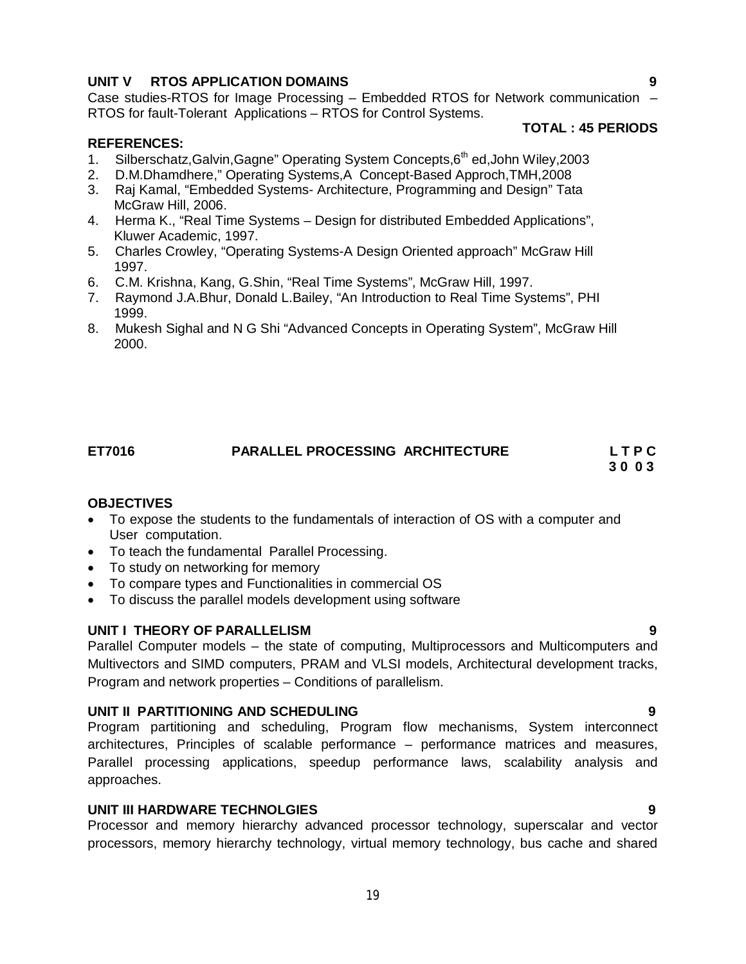# **UNIT V RTOS APPLICATION DOMAINS 9**

Case studies-RTOS for Image Processing – Embedded RTOS for Network communication – RTOS for fault-Tolerant Applications – RTOS for Control Systems.

# **TOTAL : 45 PERIODS**

#### **REFERENCES:**

- 1. Silberschatz, Galvin, Gagne" Operating System Concepts, 6<sup>th</sup> ed, John Wiley, 2003
- 2. D.M.Dhamdhere," Operating Systems,A Concept-Based Approch,TMH,2008
- 3. Raj Kamal, "Embedded Systems- Architecture, Programming and Design" Tata McGraw Hill, 2006.
- 4. Herma K., "Real Time Systems Design for distributed Embedded Applications", Kluwer Academic, 1997.
- 5. Charles Crowley, "Operating Systems-A Design Oriented approach" McGraw Hill 1997.
- 6. C.M. Krishna, Kang, G.Shin, "Real Time Systems", McGraw Hill, 1997.
- 7. Raymond J.A.Bhur, Donald L.Bailey, "An Introduction to Real Time Systems", PHI 1999.
- 8. Mukesh Sighal and N G Shi "Advanced Concepts in Operating System", McGraw Hill 2000.

# **ET7016 PARALLEL PROCESSING ARCHITECTURE L T P C 3 0 0 3**

**OBJECTIVES**

- To expose the students to the fundamentals of interaction of OS with a computer and User computation.
- To teach the fundamental Parallel Processing.
- To study on networking for memory
- To compare types and Functionalities in commercial OS
- To discuss the parallel models development using software

#### **UNIT I THEORY OF PARALLELISM 9**

Parallel Computer models – the state of computing, Multiprocessors and Multicomputers and Multivectors and SIMD computers, PRAM and VLSI models, Architectural development tracks, Program and network properties – Conditions of parallelism.

# **UNIT II PARTITIONING AND SCHEDULING 9**

Program partitioning and scheduling, Program flow mechanisms, System interconnect architectures, Principles of scalable performance – performance matrices and measures, Parallel processing applications, speedup performance laws, scalability analysis and approaches.

#### **UNIT III HARDWARE TECHNOLGIES 9**

Processor and memory hierarchy advanced processor technology, superscalar and vector processors, memory hierarchy technology, virtual memory technology, bus cache and shared

19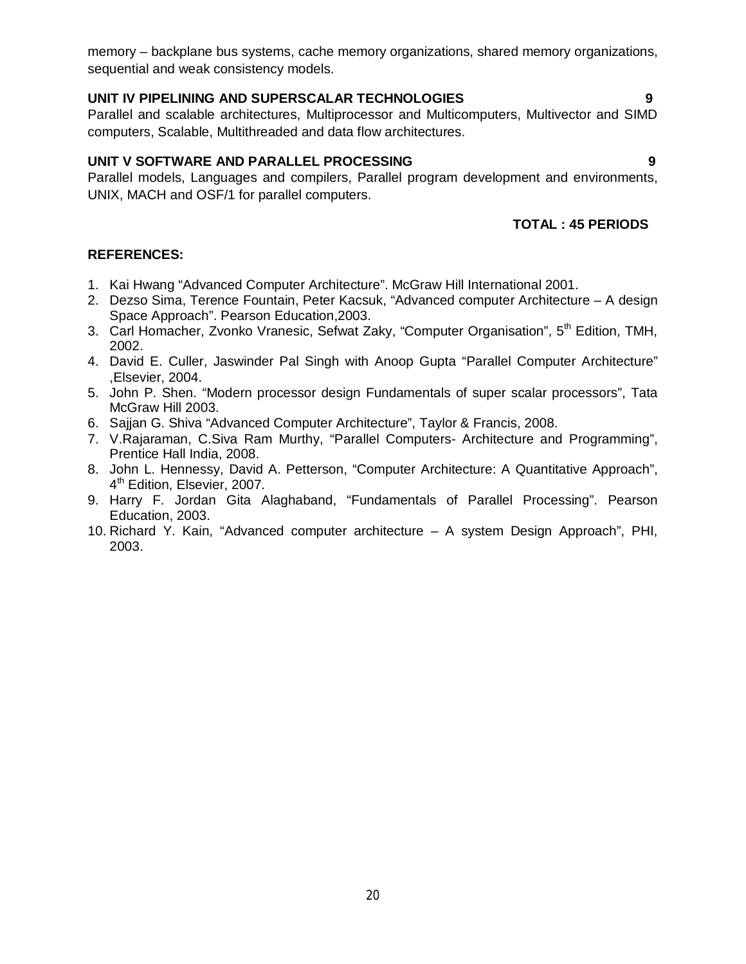memory – backplane bus systems, cache memory organizations, shared memory organizations, sequential and weak consistency models.

# **UNIT IV PIPELINING AND SUPERSCALAR TECHNOLOGIES 9**

Parallel and scalable architectures, Multiprocessor and Multicomputers, Multivector and SIMD computers, Scalable, Multithreaded and data flow architectures.

# **UNIT V SOFTWARE AND PARALLEL PROCESSING 9**

Parallel models, Languages and compilers, Parallel program development and environments, UNIX, MACH and OSF/1 for parallel computers.

# **TOTAL : 45 PERIODS**

- 1. Kai Hwang "Advanced Computer Architecture". McGraw Hill International 2001.
- 2. Dezso Sima, Terence Fountain, Peter Kacsuk, "Advanced computer Architecture A design Space Approach". Pearson Education,2003.
- 3. Carl Homacher, Zvonko Vranesic, Sefwat Zaky, "Computer Organisation", 5<sup>th</sup> Edition, TMH, 2002.
- 4. David E. Culler, Jaswinder Pal Singh with Anoop Gupta "Parallel Computer Architecture" ,Elsevier, 2004.
- 5. John P. Shen. "Modern processor design Fundamentals of super scalar processors", Tata McGraw Hill 2003.
- 6. Sajjan G. Shiva "Advanced Computer Architecture", Taylor & Francis, 2008.
- 7. V.Rajaraman, C.Siva Ram Murthy, "Parallel Computers- Architecture and Programming", Prentice Hall India, 2008.
- 8. John L. Hennessy, David A. Petterson, "Computer Architecture: A Quantitative Approach", 4<sup>th</sup> Edition, Elsevier, 2007.
- 9. Harry F. Jordan Gita Alaghaband, "Fundamentals of Parallel Processing". Pearson Education, 2003.
- 10. Richard Y. Kain, "Advanced computer architecture A system Design Approach", PHI, 2003.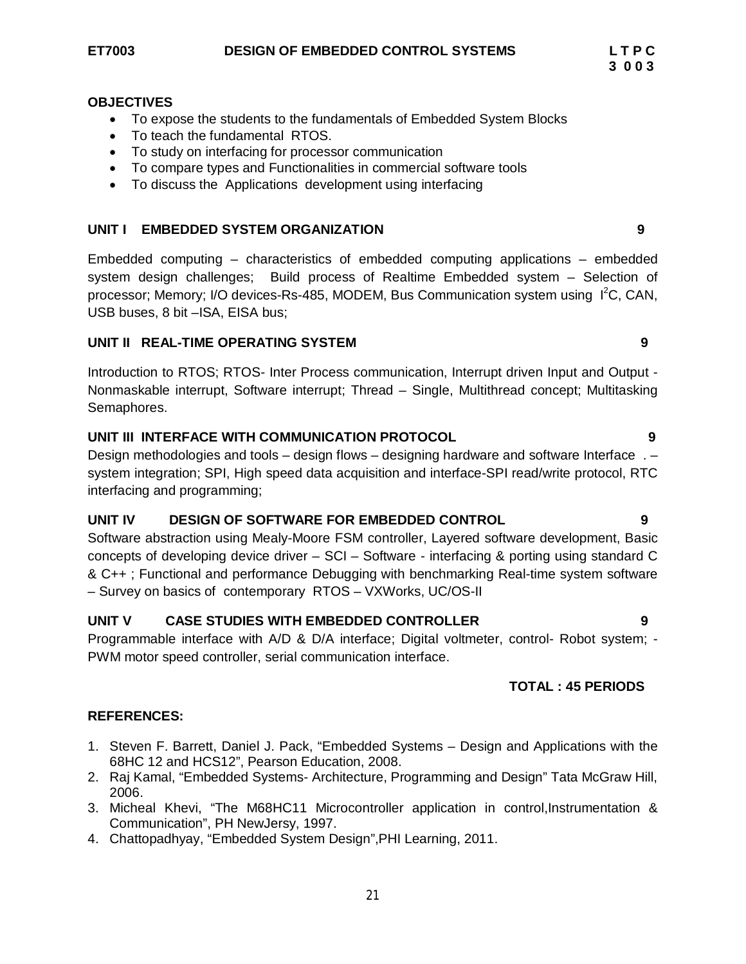- To expose the students to the fundamentals of Embedded System Blocks
- To teach the fundamental RTOS.
- To study on interfacing for processor communication
- To compare types and Functionalities in commercial software tools
- To discuss the Applications development using interfacing

# **UNIT I EMBEDDED SYSTEM ORGANIZATION 9**

Embedded computing – characteristics of embedded computing applications – embedded system design challenges; Build process of Realtime Embedded system – Selection of processor; Memory; I/O devices-Rs-485, MODEM, Bus Communication system using I<sup>2</sup>C, CAN, USB buses, 8 bit –ISA, EISA bus;

# **UNIT II REAL-TIME OPERATING SYSTEM 9**

Introduction to RTOS; RTOS- Inter Process communication, Interrupt driven Input and Output - Nonmaskable interrupt, Software interrupt; Thread – Single, Multithread concept; Multitasking Semaphores.

# **UNIT III INTERFACE WITH COMMUNICATION PROTOCOL 9**

Design methodologies and tools – design flows – designing hardware and software Interface . – system integration; SPI, High speed data acquisition and interface-SPI read/write protocol, RTC interfacing and programming;

# **UNIT IV DESIGN OF SOFTWARE FOR EMBEDDED CONTROL 9**

Software abstraction using Mealy-Moore FSM controller, Layered software development, Basic concepts of developing device driver – SCI – Software - interfacing & porting using standard C & C++ ; Functional and performance Debugging with benchmarking Real-time system software – Survey on basics of contemporary RTOS – VXWorks, UC/OS-II

# **UNIT V CASE STUDIES WITH EMBEDDED CONTROLLER 9**

Programmable interface with A/D & D/A interface; Digital voltmeter, control- Robot system; - PWM motor speed controller, serial communication interface.

# **TOTAL : 45 PERIODS**

- 1. Steven F. Barrett, Daniel J. Pack, "Embedded Systems Design and Applications with the 68HC 12 and HCS12", Pearson Education, 2008.
- 2. Raj Kamal, "Embedded Systems- Architecture, Programming and Design" Tata McGraw Hill, 2006.
- 3. Micheal Khevi, "The M68HC11 Microcontroller application in control,Instrumentation & Communication", PH NewJersy, 1997.
- 4. Chattopadhyay, "Embedded System Design",PHI Learning, 2011.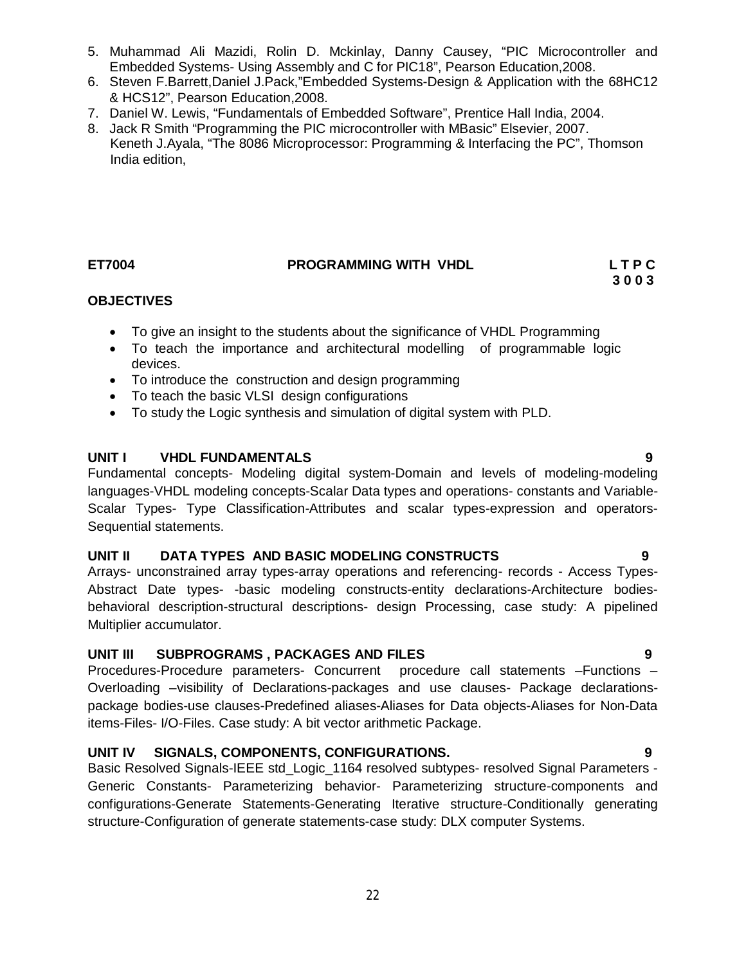- 5. Muhammad Ali Mazidi, Rolin D. Mckinlay, Danny Causey, "PIC Microcontroller and Embedded Systems- Using Assembly and C for PIC18", Pearson Education,2008.
- 6. Steven F.Barrett,Daniel J.Pack,"Embedded Systems-Design & Application with the 68HC12 & HCS12", Pearson Education,2008.
- 7. Daniel W. Lewis, "Fundamentals of Embedded Software", Prentice Hall India, 2004.
- 8. Jack R Smith "Programming the PIC microcontroller with MBasic" Elsevier, 2007. Keneth J.Ayala, "The 8086 Microprocessor: Programming & Interfacing the PC", Thomson India edition,

# **ET7004 PROGRAMMING WITH VHDL L T P C**

# **3 0 0 3**

# **OBJECTIVES**

- To give an insight to the students about the significance of VHDL Programming
- To teach the importance and architectural modelling of programmable logic devices.
- To introduce the construction and design programming
- To teach the basic VLSI design configurations
- To study the Logic synthesis and simulation of digital system with PLD.

# **UNIT I VHDL FUNDAMENTALS 9**

Fundamental concepts- Modeling digital system-Domain and levels of modeling-modeling languages-VHDL modeling concepts-Scalar Data types and operations- constants and Variable-Scalar Types- Type Classification-Attributes and scalar types-expression and operators-Sequential statements.

# **UNIT II DATA TYPES AND BASIC MODELING CONSTRUCTS 9**

Arrays- unconstrained array types-array operations and referencing- records - Access Types-Abstract Date types- -basic modeling constructs-entity declarations-Architecture bodiesbehavioral description-structural descriptions- design Processing, case study: A pipelined Multiplier accumulator.

# **UNIT III SUBPROGRAMS , PACKAGES AND FILES 9**

Procedures-Procedure parameters- Concurrent procedure call statements –Functions – Overloading –visibility of Declarations-packages and use clauses- Package declarationspackage bodies-use clauses-Predefined aliases-Aliases for Data objects-Aliases for Non-Data items-Files- I/O-Files. Case study: A bit vector arithmetic Package.

# **UNIT IV SIGNALS, COMPONENTS, CONFIGURATIONS. 9**

Basic Resolved Signals-IEEE std\_Logic\_1164 resolved subtypes- resolved Signal Parameters - Generic Constants- Parameterizing behavior- Parameterizing structure-components and configurations-Generate Statements-Generating Iterative structure-Conditionally generating structure-Configuration of generate statements-case study: DLX computer Systems.

22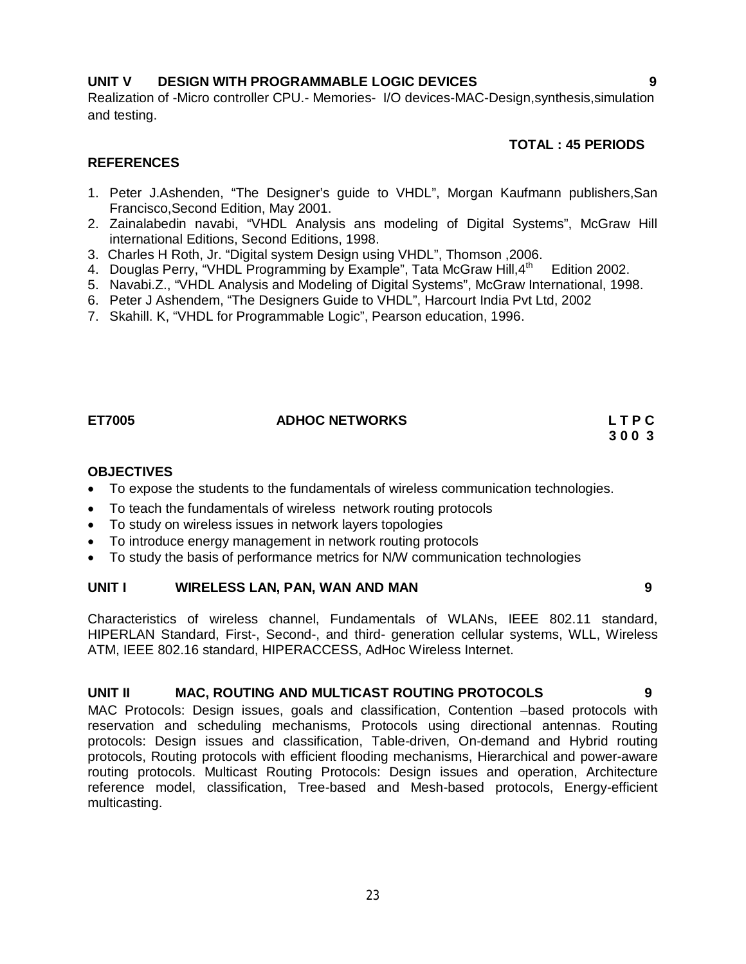# **UNIT V DESIGN WITH PROGRAMMABLE LOGIC DEVICES 9**

Realization of -Micro controller CPU.- Memories- I/O devices-MAC-Design,synthesis,simulation and testing.

### **TOTAL : 45 PERIODS**

#### **REFERENCES**

- 1. Peter J.Ashenden, "The Designer's guide to VHDL", Morgan Kaufmann publishers,San Francisco,Second Edition, May 2001.
- 2. Zainalabedin navabi, "VHDL Analysis ans modeling of Digital Systems", McGraw Hill international Editions, Second Editions, 1998.
- 3. Charles H Roth, Jr. "Digital system Design using VHDL", Thomson ,2006.
- 4. Douglas Perry, "VHDL Programming by Example", Tata McGraw Hill,4<sup>th</sup> Edition 2002.
- 5. Navabi.Z., "VHDL Analysis and Modeling of Digital Systems", McGraw International, 1998.
- 6. Peter J Ashendem, "The Designers Guide to VHDL", Harcourt India Pvt Ltd, 2002
- 7. Skahill. K, "VHDL for Programmable Logic", Pearson education, 1996.

# ET7005 ADHOC NETWORKS L T P C **L T P C** 3 0 0 3

# **3 0 0 3**

#### **OBJECTIVES**

- To expose the students to the fundamentals of wireless communication technologies.
- To teach the fundamentals of wireless network routing protocols
- To study on wireless issues in network layers topologies
- To introduce energy management in network routing protocols
- To study the basis of performance metrics for N/W communication technologies

#### **UNIT I WIRELESS LAN, PAN, WAN AND MAN 9**

Characteristics of wireless channel, Fundamentals of WLANs, IEEE 802.11 standard, HIPERLAN Standard, First-, Second-, and third- generation cellular systems, WLL, Wireless ATM, IEEE 802.16 standard, HIPERACCESS, AdHoc Wireless Internet.

#### **UNIT II MAC, ROUTING AND MULTICAST ROUTING PROTOCOLS 9**

MAC Protocols: Design issues, goals and classification, Contention –based protocols with reservation and scheduling mechanisms, Protocols using directional antennas. Routing protocols: Design issues and classification, Table-driven, On-demand and Hybrid routing protocols, Routing protocols with efficient flooding mechanisms, Hierarchical and power-aware routing protocols. Multicast Routing Protocols: Design issues and operation, Architecture reference model, classification, Tree-based and Mesh-based protocols, Energy-efficient multicasting.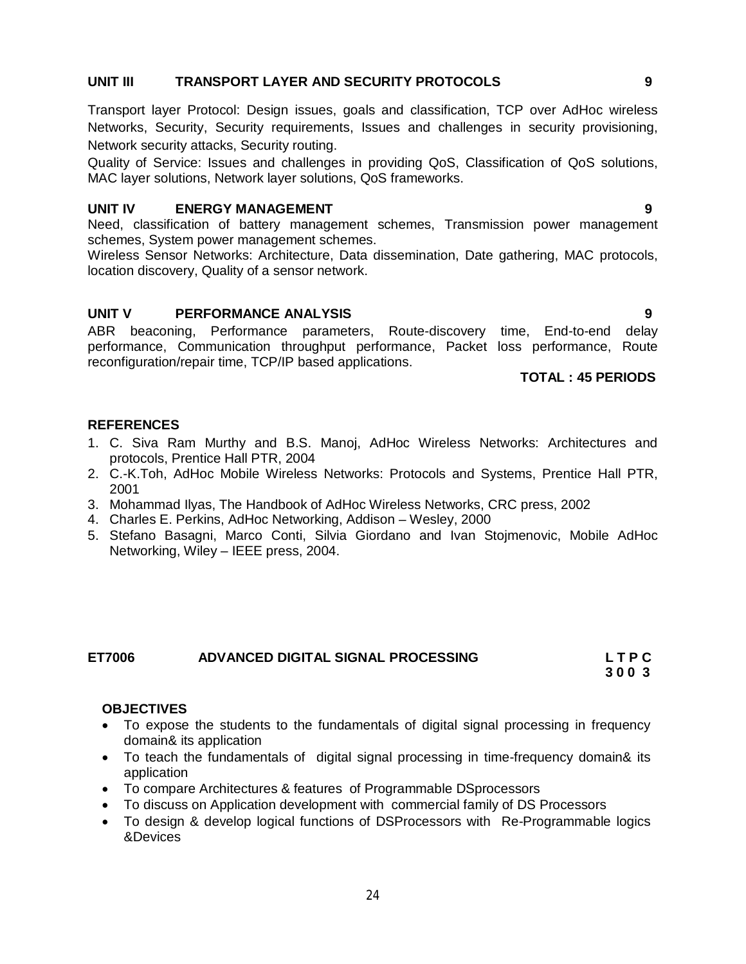### **UNIT III TRANSPORT LAYER AND SECURITY PROTOCOLS 9**

Transport layer Protocol: Design issues, goals and classification, TCP over AdHoc wireless Networks, Security, Security requirements, Issues and challenges in security provisioning, Network security attacks, Security routing.

Quality of Service: Issues and challenges in providing QoS, Classification of QoS solutions, MAC layer solutions, Network layer solutions, QoS frameworks.

#### **UNIT IV ENERGY MANAGEMENT 9**

Need, classification of battery management schemes, Transmission power management schemes, System power management schemes.

Wireless Sensor Networks: Architecture, Data dissemination, Date gathering, MAC protocols, location discovery, Quality of a sensor network.

#### **UNIT V PERFORMANCE ANALYSIS 9**

ABR beaconing, Performance parameters, Route-discovery time, End-to-end delay performance, Communication throughput performance, Packet loss performance, Route reconfiguration/repair time, TCP/IP based applications.

#### **TOTAL : 45 PERIODS**

### **REFERENCES**

- 1. C. Siva Ram Murthy and B.S. Manoj, AdHoc Wireless Networks: Architectures and protocols, Prentice Hall PTR, 2004
- 2. C.-K.Toh, AdHoc Mobile Wireless Networks: Protocols and Systems, Prentice Hall PTR, 2001
- 3. Mohammad Ilyas, The Handbook of AdHoc Wireless Networks, CRC press, 2002
- 4. Charles E. Perkins, AdHoc Networking, Addison Wesley, 2000
- 5. Stefano Basagni, Marco Conti, Silvia Giordano and Ivan Stojmenovic, Mobile AdHoc Networking, Wiley – IEEE press, 2004.

| ET7006 | ADVANCED DIGITAL SIGNAL PROCESSING | LTPC |
|--------|------------------------------------|------|
|        |                                    | 3003 |

#### **OBJECTIVES**

- To expose the students to the fundamentals of digital signal processing in frequency domain& its application
- To teach the fundamentals of digital signal processing in time-frequency domain& its application
- To compare Architectures & features of Programmable DSprocessors
- To discuss on Application development with commercial family of DS Processors
- To design & develop logical functions of DSProcessors with Re-Programmable logics &Devices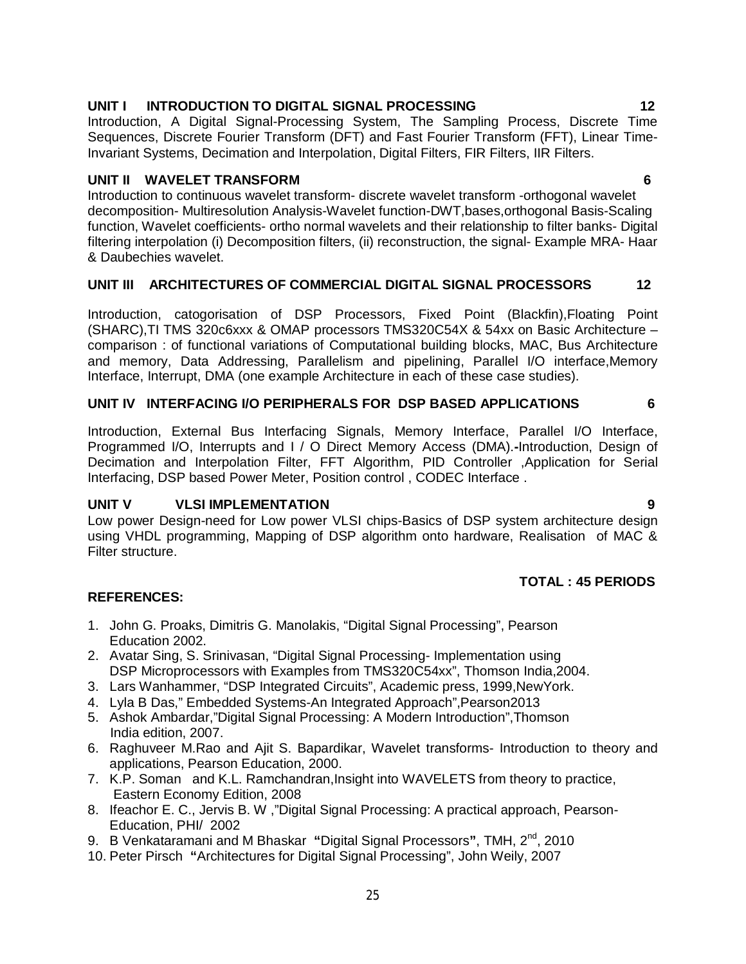# 25

# **UNIT I INTRODUCTION TO DIGITAL SIGNAL PROCESSING 12**

Introduction, A Digital Signal-Processing System, The Sampling Process, Discrete Time Sequences, Discrete Fourier Transform (DFT) and Fast Fourier Transform (FFT), Linear Time-Invariant Systems, Decimation and Interpolation, Digital Filters, FIR Filters, IIR Filters.

# **UNIT II WAVELET TRANSFORM 6**

Introduction to continuous wavelet transform- discrete wavelet transform -orthogonal wavelet decomposition- Multiresolution Analysis-Wavelet function-DWT,bases,orthogonal Basis-Scaling function, Wavelet coefficients- ortho normal wavelets and their relationship to filter banks- Digital filtering interpolation (i) Decomposition filters, (ii) reconstruction, the signal- Example MRA- Haar & Daubechies wavelet.

# **UNIT III ARCHITECTURES OF COMMERCIAL DIGITAL SIGNAL PROCESSORS 12**

Introduction, catogorisation of DSP Processors, Fixed Point (Blackfin),Floating Point (SHARC),TI TMS 320c6xxx & OMAP processors TMS320C54X & 54xx on Basic Architecture – comparison : of functional variations of Computational building blocks, MAC, Bus Architecture and memory, Data Addressing, Parallelism and pipelining, Parallel I/O interface,Memory Interface, Interrupt, DMA (one example Architecture in each of these case studies).

# **UNIT IV INTERFACING I/O PERIPHERALS FOR DSP BASED APPLICATIONS 6**

Introduction, External Bus Interfacing Signals, Memory Interface, Parallel I/O Interface, Programmed I/O, Interrupts and I / O Direct Memory Access (DMA).**-**Introduction, Design of Decimation and Interpolation Filter, FFT Algorithm, PID Controller ,Application for Serial Interfacing, DSP based Power Meter, Position control , CODEC Interface .

# **UNIT V VLSI IMPLEMENTATION 9**

Low power Design-need for Low power VLSI chips-Basics of DSP system architecture design using VHDL programming, Mapping of DSP algorithm onto hardware, Realisation of MAC & Filter structure.

# **TOTAL : 45 PERIODS**

- 1. John G. Proaks, Dimitris G. Manolakis, "Digital Signal Processing", Pearson Education 2002.
- 2. Avatar Sing, S. Srinivasan, "Digital Signal Processing- Implementation using DSP Microprocessors with Examples from TMS320C54xx". Thomson India, 2004.
- 3. Lars Wanhammer, "DSP Integrated Circuits", Academic press, 1999,NewYork.
- 4. Lyla B Das," Embedded Systems-An Integrated Approach",Pearson2013
- 5. Ashok Ambardar,"Digital Signal Processing: A Modern Introduction",Thomson India edition, 2007.
- 6. Raghuveer M.Rao and Ajit S. Bapardikar, Wavelet transforms- Introduction to theory and applications, Pearson Education, 2000.
- 7. K.P. Soman and K.L. Ramchandran,Insight into WAVELETS from theory to practice, Eastern Economy Edition, 2008
- 8. Ifeachor E. C., Jervis B. W ,"Digital Signal Processing: A practical approach, Pearson-Education, PHI/ 2002
- 9. B Venkataramani and M Bhaskar **"**Digital Signal Processors**"**, TMH, 2nd, 2010
- 10. Peter Pirsch **"**Architectures for Digital Signal Processing", John Weily, 2007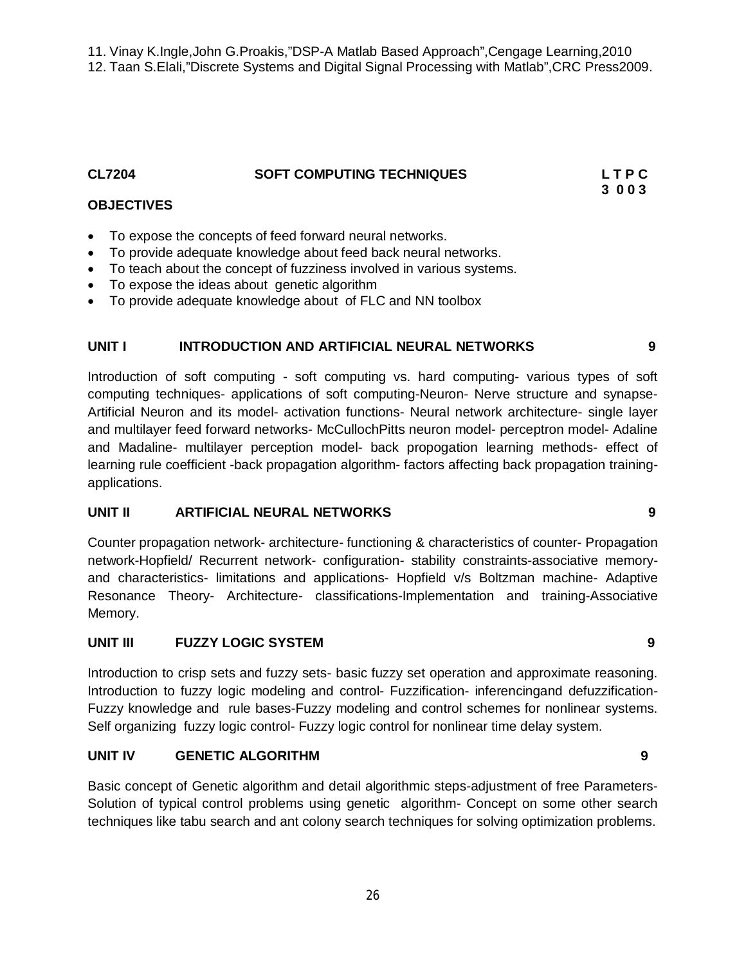11. Vinay K.Ingle,John G.Proakis,"DSP-A Matlab Based Approach",Cengage Learning,2010 12. Taan S.Elali,"Discrete Systems and Digital Signal Processing with Matlab",CRC Press2009.

**CL7204 SOFT COMPUTING TECHNIQUES L T P C**

#### **3 0 0 3 OBJECTIVES**

- To expose the concepts of feed forward neural networks.
- To provide adequate knowledge about feed back neural networks.
- To teach about the concept of fuzziness involved in various systems.
- To expose the ideas about genetic algorithm
- To provide adequate knowledge about of FLC and NN toolbox

# **UNIT I INTRODUCTION AND ARTIFICIAL NEURAL NETWORKS 9**

Introduction of soft computing - soft computing vs. hard computing- various types of soft computing techniques- applications of soft computing-Neuron- Nerve structure and synapse-Artificial Neuron and its model- activation functions- Neural network architecture- single layer and multilayer feed forward networks- McCullochPitts neuron model- perceptron model- Adaline and Madaline- multilayer perception model- back propogation learning methods- effect of learning rule coefficient -back propagation algorithm- factors affecting back propagation trainingapplications.

# **UNIT II ARTIFICIAL NEURAL NETWORKS 9**

Counter propagation network- architecture- functioning & characteristics of counter- Propagation network-Hopfield/ Recurrent network- configuration- stability constraints-associative memoryand characteristics- limitations and applications- Hopfield v/s Boltzman machine- Adaptive Resonance Theory- Architecture- classifications-Implementation and training-Associative Memory.

# **UNIT III FUZZY LOGIC SYSTEM 9**

Introduction to crisp sets and fuzzy sets- basic fuzzy set operation and approximate reasoning. Introduction to fuzzy logic modeling and control- Fuzzification- inferencingand defuzzification-Fuzzy knowledge and rule bases-Fuzzy modeling and control schemes for nonlinear systems. Self organizing fuzzy logic control- Fuzzy logic control for nonlinear time delay system.

# **UNIT IV GENETIC ALGORITHM 9**

Basic concept of Genetic algorithm and detail algorithmic steps-adjustment of free Parameters-Solution of typical control problems using genetic algorithm- Concept on some other search techniques like tabu search and ant colony search techniques for solving optimization problems.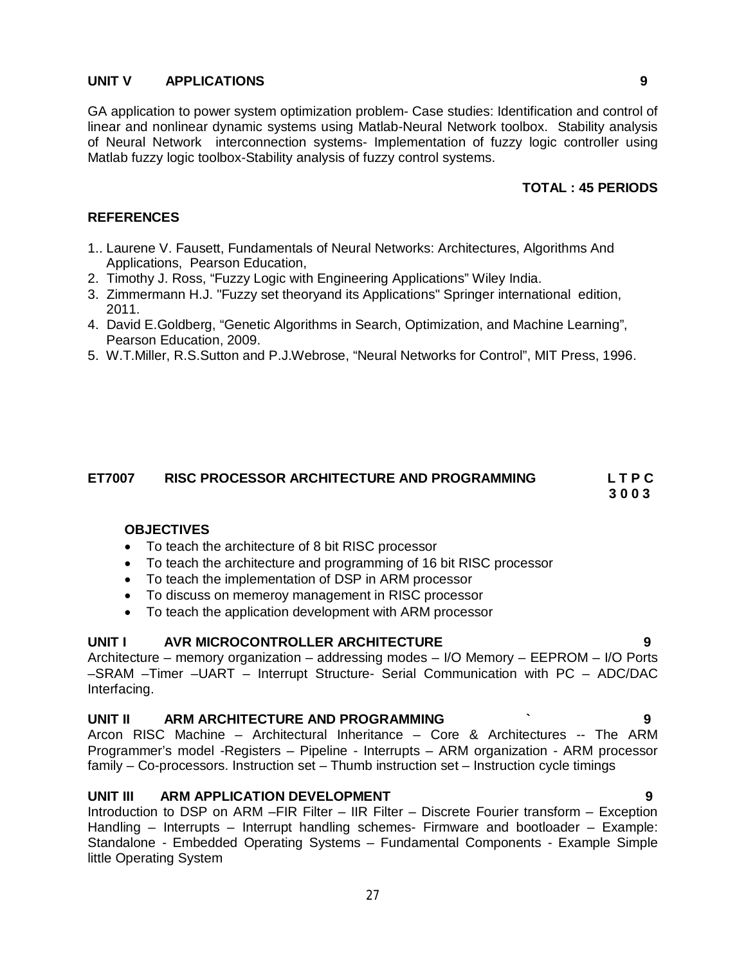# **UNIT V APPLICATIONS 9**

GA application to power system optimization problem- Case studies: Identification and control of linear and nonlinear dynamic systems using Matlab-Neural Network toolbox. Stability analysis of Neural Network interconnection systems- Implementation of fuzzy logic controller using Matlab fuzzy logic toolbox-Stability analysis of fuzzy control systems.

# **TOTAL : 45 PERIODS**

#### **REFERENCES**

- 1.. Laurene V. Fausett, Fundamentals of Neural Networks: Architectures, Algorithms And Applications, Pearson Education,
- 2. Timothy J. Ross, "Fuzzy Logic with Engineering Applications" Wiley India.
- 3. Zimmermann H.J. "Fuzzy set theoryand its Applications" Springer international edition, 2011.
- 4. David E.Goldberg, "Genetic Algorithms in Search, Optimization, and Machine Learning", Pearson Education, 2009.
- 5. W.T.Miller, R.S.Sutton and P.J.Webrose, "Neural Networks for Control", MIT Press, 1996.

# **ET7007 RISC PROCESSOR ARCHITECTURE AND PROGRAMMING L T P C**

 **3 0 0 3**

# **OBJECTIVES**

- To teach the architecture of 8 bit RISC processor
- To teach the architecture and programming of 16 bit RISC processor
- To teach the implementation of DSP in ARM processor
- To discuss on memeroy management in RISC processor
- To teach the application development with ARM processor

# UNIT I AVR MICROCONTROLLER ARCHITECTURE

Architecture – memory organization – addressing modes – I/O Memory – EEPROM – I/O Ports –SRAM –Timer –UART – Interrupt Structure- Serial Communication with PC – ADC/DAC Interfacing.

#### **UNIT II ARM ARCHITECTURE AND PROGRAMMING ` 9**

Arcon RISC Machine – Architectural Inheritance – Core & Architectures -- The ARM Programmer's model -Registers – Pipeline - Interrupts – ARM organization - ARM processor family – Co-processors. Instruction set – Thumb instruction set – Instruction cycle timings

#### **UNIT III ARM APPLICATION DEVELOPMENT 9**

Introduction to DSP on ARM –FIR Filter – IIR Filter – Discrete Fourier transform – Exception Handling – Interrupts – Interrupt handling schemes- Firmware and bootloader – Example: Standalone - Embedded Operating Systems – Fundamental Components - Example Simple little Operating System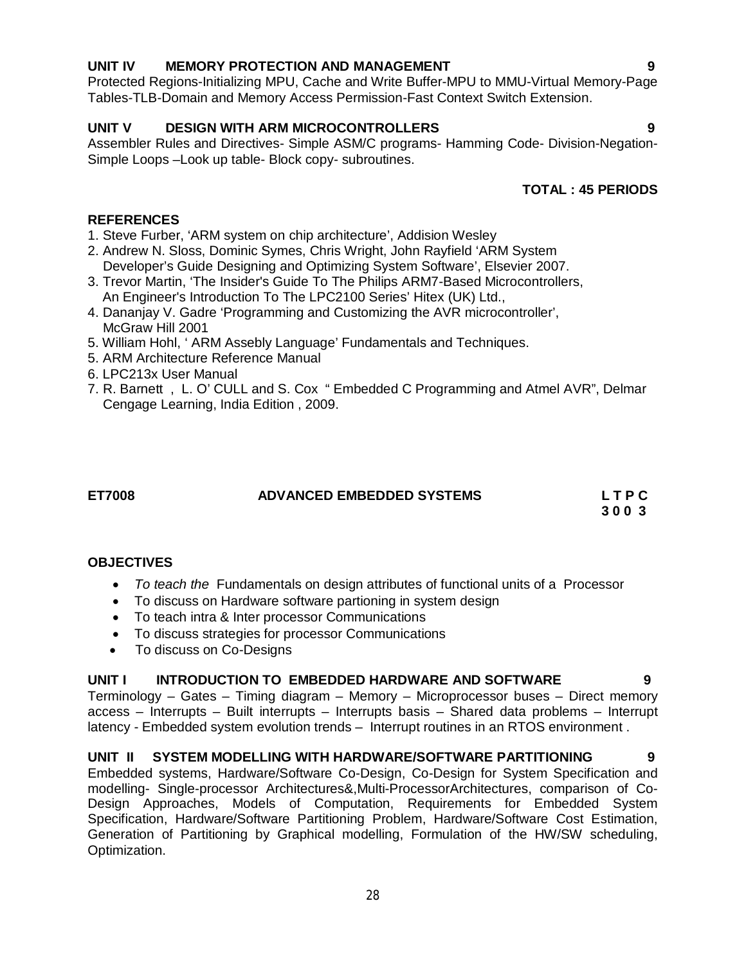# 28

# **UNIT IV MEMORY PROTECTION AND MANAGEMENT 9**

Protected Regions-Initializing MPU, Cache and Write Buffer-MPU to MMU-Virtual Memory-Page Tables-TLB-Domain and Memory Access Permission-Fast Context Switch Extension.

# **UNIT V DESIGN WITH ARM MICROCONTROLLERS 9**

Assembler Rules and Directives- Simple ASM/C programs- Hamming Code- Division-Negation-Simple Loops –Look up table- Block copy- subroutines.

# **TOTAL : 45 PERIODS**

# **REFERENCES**

- 1. Steve Furber, 'ARM system on chip architecture', Addision Wesley
- 2. Andrew N. Sloss, Dominic Symes, Chris Wright, John Rayfield 'ARM System Developer's Guide Designing and Optimizing System Software', Elsevier 2007.
- 3. Trevor Martin, 'The Insider's Guide To The Philips ARM7-Based Microcontrollers, An Engineer's Introduction To The LPC2100 Series' Hitex (UK) Ltd.,
- 4. Dananjay V. Gadre 'Programming and Customizing the AVR microcontroller', McGraw Hill 2001
- 5. William Hohl, ' ARM Assebly Language' Fundamentals and Techniques.
- 5. ARM Architecture Reference Manual
- 6. LPC213x User Manual
- 7. R. Barnett , L. O' CULL and S. Cox " Embedded C Programming and Atmel AVR", Delmar Cengage Learning, India Edition , 2009.

# **ET7008 ADVANCED EMBEDDED SYSTEMS L T P C**

 **3 0 0 3**

# **OBJECTIVES**

- *To teach the* Fundamentals on design attributes of functional units of a Processor
- To discuss on Hardware software partioning in system design
- To teach intra & Inter processor Communications
- To discuss strategies for processor Communications
- To discuss on Co-Designs

# **UNIT I INTRODUCTION TO EMBEDDED HARDWARE AND SOFTWARE 9**

Terminology – Gates – Timing diagram – Memory – Microprocessor buses – Direct memory access – Interrupts – Built interrupts – Interrupts basis – Shared data problems – Interrupt latency - Embedded system evolution trends – Interrupt routines in an RTOS environment .

# UNIT II SYSTEM MODELLING WITH HARDWARE/SOFTWARE PARTITIONING 9

Embedded systems, Hardware/Software Co-Design, Co-Design for System Specification and modelling- Single-processor Architectures&,Multi-ProcessorArchitectures, comparison of Co-Design Approaches, Models of Computation, Requirements for Embedded System Specification, Hardware/Software Partitioning Problem, Hardware/Software Cost Estimation, Generation of Partitioning by Graphical modelling, Formulation of the HW/SW scheduling, Optimization.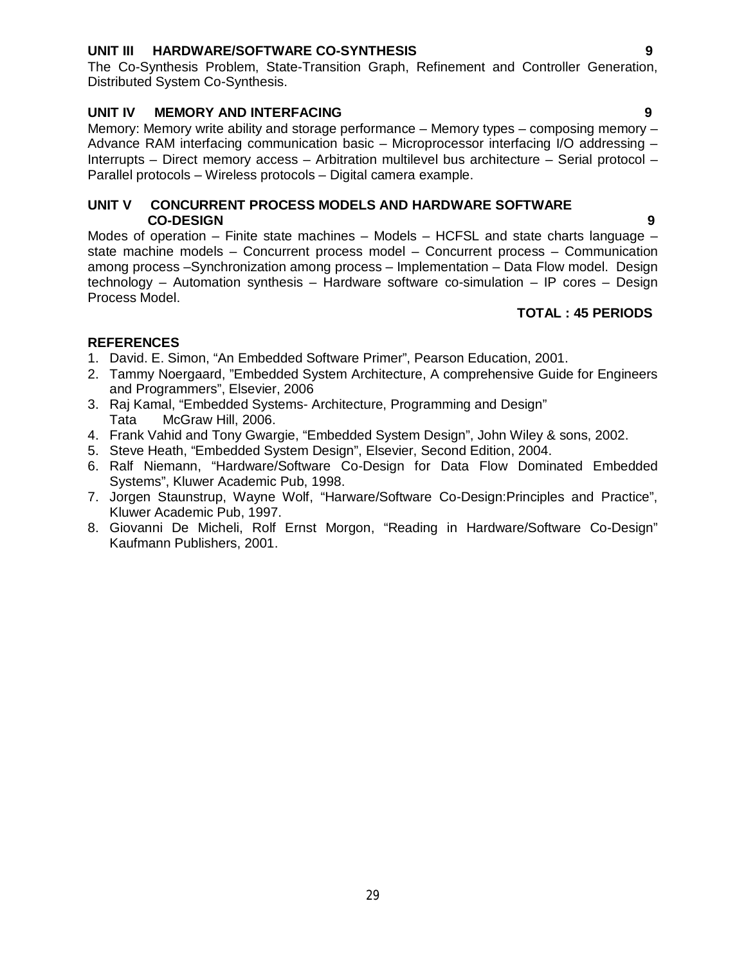# **UNIT III HARDWARE/SOFTWARE CO-SYNTHESIS 9**

The Co-Synthesis Problem, State-Transition Graph, Refinement and Controller Generation, Distributed System Co-Synthesis.

### **UNIT IV MEMORY AND INTERFACING 9**

Memory: Memory write ability and storage performance – Memory types – composing memory – Advance RAM interfacing communication basic – Microprocessor interfacing I/O addressing – Interrupts – Direct memory access – Arbitration multilevel bus architecture – Serial protocol – Parallel protocols – Wireless protocols – Digital camera example.

### **UNIT V CONCURRENT PROCESS MODELS AND HARDWARE SOFTWARE CO-DESIGN 9**

Modes of operation – Finite state machines – Models – HCFSL and state charts language – state machine models – Concurrent process model – Concurrent process – Communication among process –Synchronization among process – Implementation – Data Flow model. Design technology – Automation synthesis – Hardware software co-simulation – IP cores – Design Process Model.

### **TOTAL : 45 PERIODS**

- 1. David. E. Simon, "An Embedded Software Primer", Pearson Education, 2001.
- 2. Tammy Noergaard, "Embedded System Architecture, A comprehensive Guide for Engineers and Programmers", Elsevier, 2006
- 3. Raj Kamal, "Embedded Systems- Architecture, Programming and Design" Tata McGraw Hill, 2006.
- 4. Frank Vahid and Tony Gwargie, "Embedded System Design", John Wiley & sons, 2002.
- 5. Steve Heath, "Embedded System Design", Elsevier, Second Edition, 2004.
- 6. Ralf Niemann, "Hardware/Software Co-Design for Data Flow Dominated Embedded Systems", Kluwer Academic Pub, 1998.
- 7. Jorgen Staunstrup, Wayne Wolf, "Harware/Software Co-Design:Principles and Practice", Kluwer Academic Pub, 1997.
- 8. Giovanni De Micheli, Rolf Ernst Morgon, "Reading in Hardware/Software Co-Design" Kaufmann Publishers, 2001.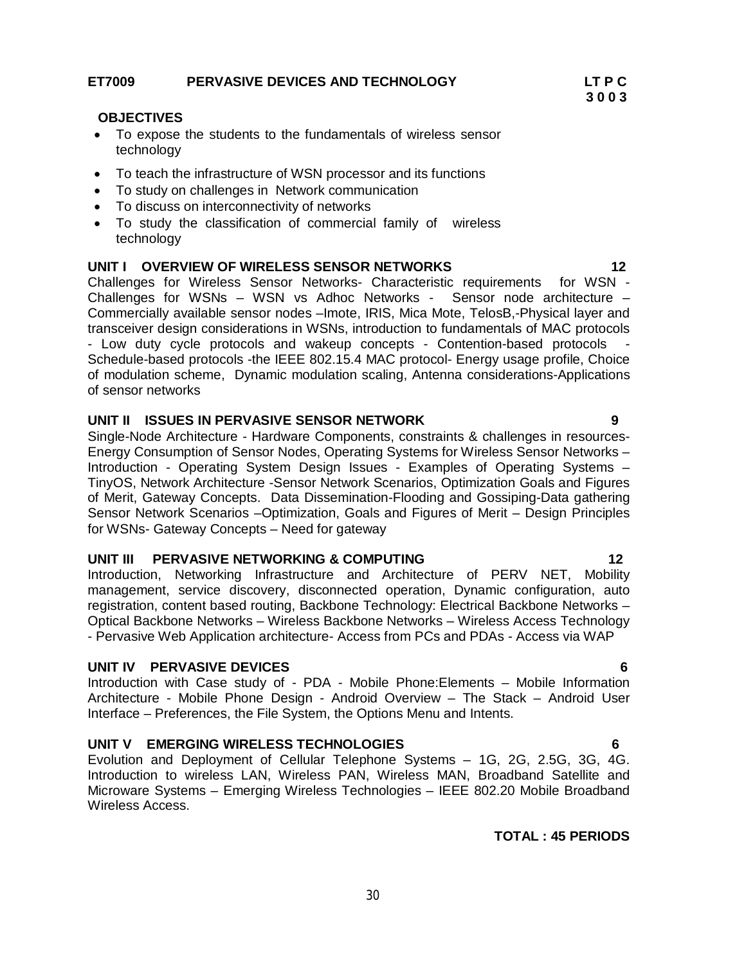- To expose the students to the fundamentals of wireless sensor technology
- To teach the infrastructure of WSN processor and its functions
- To study on challenges in Network communication
- To discuss on interconnectivity of networks
- To study the classification of commercial family of wireless technology

#### **UNIT I OVERVIEW OF WIRELESS SENSOR NETWORKS 12**

Challenges for Wireless Sensor Networks- Characteristic requirements for WSN - Challenges for WSNs – WSN vs Adhoc Networks - Sensor node architecture – Commercially available sensor nodes –Imote, IRIS, Mica Mote, TelosB,-Physical layer and transceiver design considerations in WSNs, introduction to fundamentals of MAC protocols - Low duty cycle protocols and wakeup concepts - Contention-based protocols Schedule-based protocols -the IEEE 802.15.4 MAC protocol- Energy usage profile, Choice of modulation scheme, Dynamic modulation scaling, Antenna considerations-Applications of sensor networks

#### **UNIT II ISSUES IN PERVASIVE SENSOR NETWORK 9**

Single-Node Architecture - Hardware Components, constraints & challenges in resources-Energy Consumption of Sensor Nodes, Operating Systems for Wireless Sensor Networks – Introduction - Operating System Design Issues - Examples of Operating Systems – TinyOS, Network Architecture -Sensor Network Scenarios, Optimization Goals and Figures of Merit, Gateway Concepts. Data Dissemination-Flooding and Gossiping-Data gathering Sensor Network Scenarios –Optimization, Goals and Figures of Merit – Design Principles for WSNs- Gateway Concepts – Need for gateway

#### **UNIT III PERVASIVE NETWORKING & COMPUTING 12**

Introduction, Networking Infrastructure and Architecture of PERV NET, Mobility management, service discovery, disconnected operation, Dynamic configuration, auto registration, content based routing, Backbone Technology: Electrical Backbone Networks – Optical Backbone Networks – Wireless Backbone Networks – Wireless Access Technology - Pervasive Web Application architecture- Access from PCs and PDAs - Access via WAP

#### **UNIT IV PERVASIVE DEVICES 6**

Introduction with Case study of - PDA - Mobile Phone:Elements – Mobile Information Architecture - Mobile Phone Design - Android Overview – The Stack – Android User Interface – Preferences, the File System, the Options Menu and Intents.

### **UNIT V EMERGING WIRELESS TECHNOLOGIES 6**

Evolution and Deployment of Cellular Telephone Systems – 1G, 2G, 2.5G, 3G, 4G. Introduction to wireless LAN, Wireless PAN, Wireless MAN, Broadband Satellite and Microware Systems – Emerging Wireless Technologies – IEEE 802.20 Mobile Broadband Wireless Access.

#### **TOTAL : 45 PERIODS**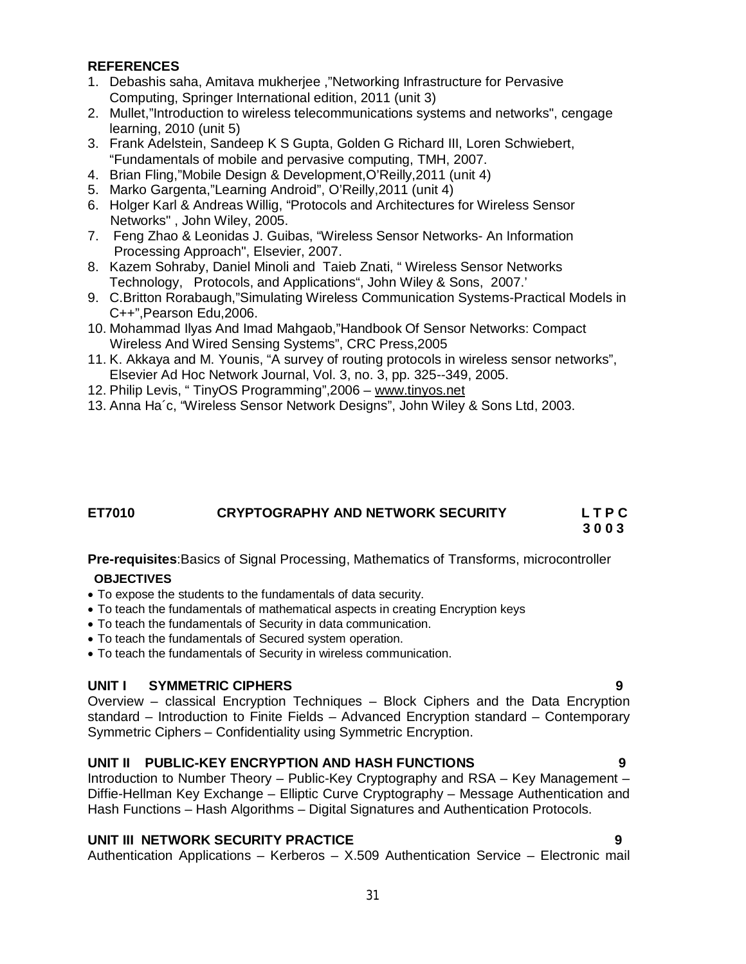# **REFERENCES**

- 1. Debashis saha, Amitava mukherjee ,"Networking Infrastructure for Pervasive Computing, Springer International edition, 2011 (unit 3)
- 2. Mullet,"Introduction to wireless telecommunications systems and networks", cengage learning, 2010 (unit 5)
- 3. Frank Adelstein, Sandeep K S Gupta, Golden G Richard III, Loren Schwiebert, "Fundamentals of mobile and pervasive computing, TMH, 2007.
- 4. Brian Fling,"Mobile Design & Development,O'Reilly,2011 (unit 4)
- 5. Marko Gargenta,"Learning Android", O'Reilly,2011 (unit 4)
- 6. Holger Karl & Andreas Willig, "Protocols and Architectures for Wireless Sensor Networks" , John Wiley, 2005.
- 7. Feng Zhao & Leonidas J. Guibas, "Wireless Sensor Networks- An Information Processing Approach", Elsevier, 2007.
- 8. Kazem Sohraby, Daniel Minoli and Taieb Znati, " Wireless Sensor Networks Technology, Protocols, and Applications", John Wiley & Sons, 2007.'
- 9. C.Britton Rorabaugh,"Simulating Wireless Communication Systems-Practical Models in C++",Pearson Edu,2006.
- 10. Mohammad Ilyas And Imad Mahgaob,"Handbook Of Sensor Networks: Compact Wireless And Wired Sensing Systems", CRC Press,2005
- 11. K. Akkaya and M. Younis, "A survey of routing protocols in wireless sensor networks", Elsevier Ad Hoc Network Journal, Vol. 3, no. 3, pp. 325--349, 2005.
- 12. Philip Levis, " TinyOS Programming",2006 www.tinyos.net
- 13. Anna Ha´c, "Wireless Sensor Network Designs", John Wiley & Sons Ltd, 2003.

# **ET7010 CRYPTOGRAPHY AND NETWORK SECURITY L T P C 3 0 0 3**

**Pre-requisites**:Basics of Signal Processing, Mathematics of Transforms, microcontroller **OBJECTIVES**

- To expose the students to the fundamentals of data security.
- To teach the fundamentals of mathematical aspects in creating Encryption keys
- To teach the fundamentals of Security in data communication.
- To teach the fundamentals of Secured system operation.
- To teach the fundamentals of Security in wireless communication.

# **UNIT I SYMMETRIC CIPHERS 9**

Overview – classical Encryption Techniques – Block Ciphers and the Data Encryption standard – Introduction to Finite Fields – Advanced Encryption standard – Contemporary Symmetric Ciphers – Confidentiality using Symmetric Encryption.

# **UNIT II PUBLIC-KEY ENCRYPTION AND HASH FUNCTIONS 9**

Introduction to Number Theory – Public-Key Cryptography and RSA – Key Management – Diffie-Hellman Key Exchange – Elliptic Curve Cryptography – Message Authentication and Hash Functions – Hash Algorithms – Digital Signatures and Authentication Protocols.

# **UNIT III NETWORK SECURITY PRACTICE 9**

Authentication Applications – Kerberos – X.509 Authentication Service – Electronic mail

31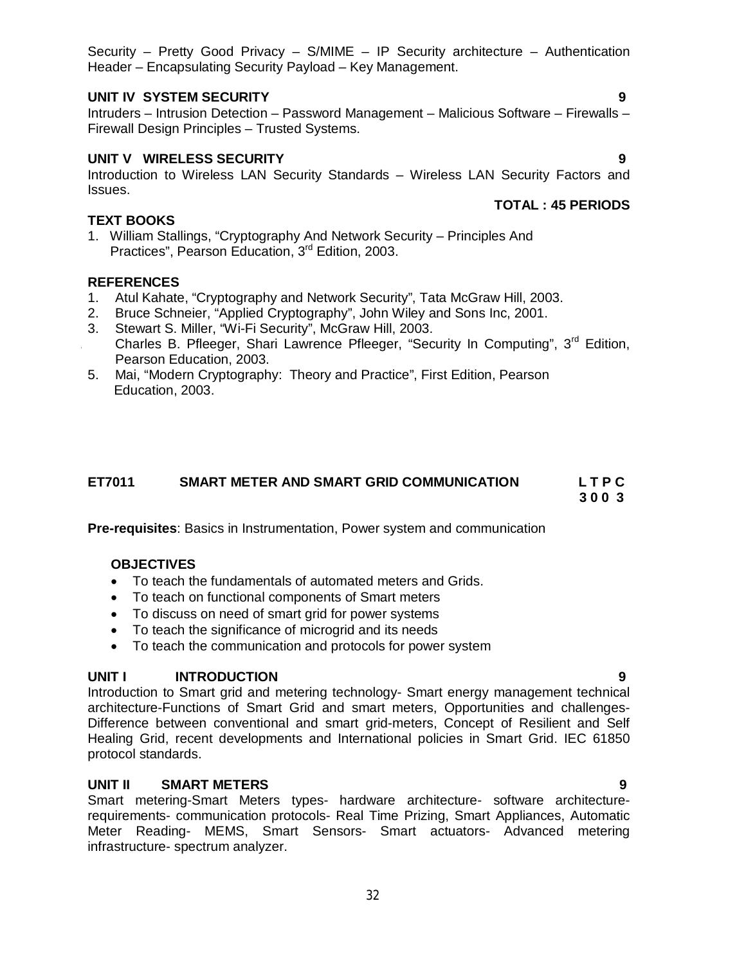Security – Pretty Good Privacy – S/MIME – IP Security architecture – Authentication Header – Encapsulating Security Payload – Key Management.

# **UNIT IV SYSTEM SECURITY 9**

Intruders – Intrusion Detection – Password Management – Malicious Software – Firewalls – Firewall Design Principles – Trusted Systems.

# **UNIT V WIRELESS SECURITY 9**

Introduction to Wireless LAN Security Standards – Wireless LAN Security Factors and Issues.  **TOTAL : 45 PERIODS** 

# **TEXT BOOKS**

1. William Stallings, "Cryptography And Network Security – Principles And Practices", Pearson Education, 3<sup>rd</sup> Edition, 2003.

# **REFERENCES**

- 1. Atul Kahate, "Cryptography and Network Security", Tata McGraw Hill, 2003.
- 2. Bruce Schneier, "Applied Cryptography", John Wiley and Sons Inc, 2001.
- 3. Stewart S. Miller, "Wi-Fi Security", McGraw Hill, 2003. Charles B. Pfleeger, Shari Lawrence Pfleeger, "Security In Computing", 3<sup>rd</sup> Edition, Pearson Education, 2003.
- 5. Mai, "Modern Cryptography: Theory and Practice", First Edition, Pearson Education, 2003.

# **ET7011 SMART METER AND SMART GRID COMMUNICATION L T P C**

 **3 0 0 3**

**Pre-requisites**: Basics in Instrumentation, Power system and communication

# **OBJECTIVES**

- To teach the fundamentals of automated meters and Grids.
- To teach on functional components of Smart meters
- To discuss on need of smart grid for power systems
- To teach the significance of microgrid and its needs
- To teach the communication and protocols for power system

# **UNIT I INTRODUCTION 9**

Introduction to Smart grid and metering technology- Smart energy management technical architecture-Functions of Smart Grid and smart meters, Opportunities and challenges-Difference between conventional and smart grid-meters, Concept of Resilient and Self Healing Grid, recent developments and International policies in Smart Grid. IEC 61850 protocol standards.

# **UNIT II SMART METERS 9**

Smart metering-Smart Meters types- hardware architecture- software architecturerequirements- communication protocols- Real Time Prizing, Smart Appliances, Automatic Meter Reading- MEMS, Smart Sensors- Smart actuators- Advanced metering infrastructure- spectrum analyzer.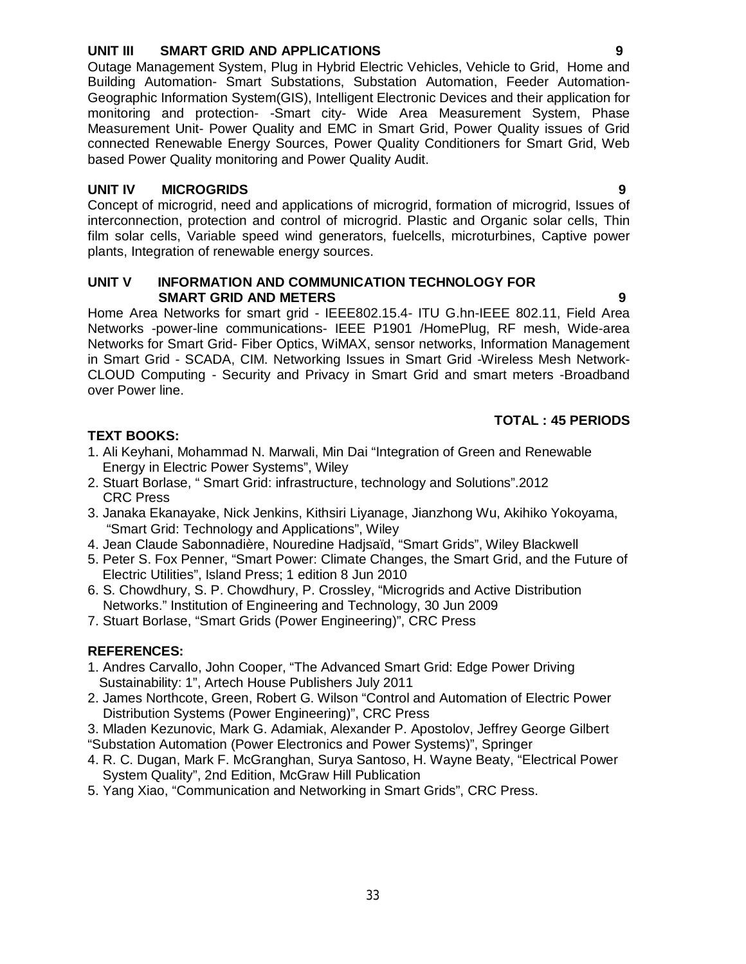# **UNIT III SMART GRID AND APPLICATIONS 9**

Outage Management System, Plug in Hybrid Electric Vehicles, Vehicle to Grid, Home and Building Automation- Smart Substations, Substation Automation, Feeder Automation-Geographic Information System(GIS), Intelligent Electronic Devices and their application for monitoring and protection- -Smart city- Wide Area Measurement System, Phase Measurement Unit- Power Quality and EMC in Smart Grid, Power Quality issues of Grid connected Renewable Energy Sources, Power Quality Conditioners for Smart Grid, Web based Power Quality monitoring and Power Quality Audit.

# **UNIT IV MICROGRIDS 9**

Concept of microgrid, need and applications of microgrid, formation of microgrid, Issues of interconnection, protection and control of microgrid. Plastic and Organic solar cells, Thin film solar cells, Variable speed wind generators, fuelcells, microturbines, Captive power plants, Integration of renewable energy sources.

#### **UNIT V INFORMATION AND COMMUNICATION TECHNOLOGY FOR SMART GRID AND METERS 9**

Home Area Networks for smart grid - IEEE802.15.4- ITU G.hn-IEEE 802.11, Field Area Networks -power-line communications- IEEE P1901 /HomePlug, RF mesh, Wide-area Networks for Smart Grid- Fiber Optics, WiMAX, sensor networks, Information Management in Smart Grid - SCADA, CIM. Networking Issues in Smart Grid -Wireless Mesh Network-CLOUD Computing - Security and Privacy in Smart Grid and smart meters -Broadband over Power line.

# **TOTAL : 45 PERIODS**

# **TEXT BOOKS:**

- 1. Ali Keyhani, Mohammad N. Marwali, Min Dai "Integration of Green and Renewable Energy in Electric Power Systems", Wiley
- 2. Stuart Borlase, " Smart Grid: infrastructure, technology and Solutions".2012 CRC Press
- 3. Janaka Ekanayake, Nick Jenkins, Kithsiri Liyanage, Jianzhong Wu, Akihiko Yokoyama, "Smart Grid: Technology and Applications", Wiley
- 4. Jean Claude Sabonnadière, Nouredine Hadjsaïd, "Smart Grids", Wiley Blackwell
- 5. Peter S. Fox Penner, "Smart Power: Climate Changes, the Smart Grid, and the Future of Electric Utilities", Island Press; 1 edition 8 Jun 2010
- 6. S. Chowdhury, S. P. Chowdhury, P. Crossley, "Microgrids and Active Distribution Networks." Institution of Engineering and Technology, 30 Jun 2009
- 7. Stuart Borlase, "Smart Grids (Power Engineering)", CRC Press

- 1. Andres Carvallo, John Cooper, "The Advanced Smart Grid: Edge Power Driving Sustainability: 1", Artech House Publishers July 2011
- 2. James Northcote, Green, Robert G. Wilson "Control and Automation of Electric Power Distribution Systems (Power Engineering)", CRC Press
- 3. Mladen Kezunovic, Mark G. Adamiak, Alexander P. Apostolov, Jeffrey George Gilbert "Substation Automation (Power Electronics and Power Systems)", Springer
- 4. R. C. Dugan, Mark F. McGranghan, Surya Santoso, H. Wayne Beaty, "Electrical Power System Quality", 2nd Edition, McGraw Hill Publication
- 5. Yang Xiao, "Communication and Networking in Smart Grids", CRC Press.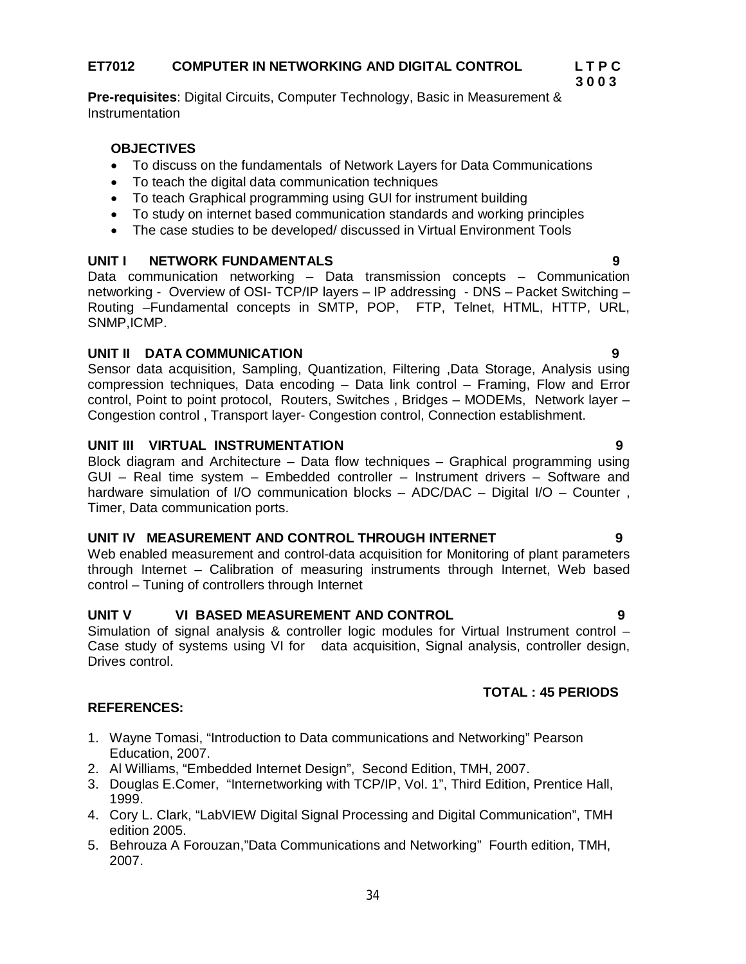**Pre-requisites**: Digital Circuits, Computer Technology, Basic in Measurement & **Instrumentation** 

# **OBJECTIVES**

- To discuss on the fundamentals of Network Layers for Data Communications
- To teach the digital data communication techniques
- To teach Graphical programming using GUI for instrument building
- To study on internet based communication standards and working principles
- The case studies to be developed/ discussed in Virtual Environment Tools

### UNIT **I** NETWORK FUNDAMENTALS

Data communication networking – Data transmission concepts – Communication networking - Overview of OSI- TCP/IP layers – IP addressing - DNS – Packet Switching – Routing –Fundamental concepts in SMTP, POP, FTP, Telnet, HTML, HTTP, URL, SNMP,ICMP.

### **UNIT II DATA COMMUNICATION 9**

Sensor data acquisition, Sampling, Quantization, Filtering ,Data Storage, Analysis using compression techniques, Data encoding – Data link control – Framing, Flow and Error control, Point to point protocol, Routers, Switches , Bridges – MODEMs, Network layer – Congestion control , Transport layer- Congestion control, Connection establishment.

### **UNIT III VIRTUAL INSTRUMENTATION 9**

Block diagram and Architecture – Data flow techniques – Graphical programming using GUI – Real time system – Embedded controller – Instrument drivers – Software and hardware simulation of I/O communication blocks – ADC/DAC – Digital I/O – Counter , Timer, Data communication ports.

#### **UNIT IV MEASUREMENT AND CONTROL THROUGH INTERNET 9**

Web enabled measurement and control-data acquisition for Monitoring of plant parameters through Internet – Calibration of measuring instruments through Internet, Web based control – Tuning of controllers through Internet

#### **UNIT V VI BASED MEASUREMENT AND CONTROL 9**

Simulation of signal analysis & controller logic modules for Virtual Instrument control – Case study of systems using VI for data acquisition, Signal analysis, controller design, Drives control.

# **TOTAL : 45 PERIODS**

- 1. Wayne Tomasi, "Introduction to Data communications and Networking" Pearson Education, 2007.
- 2. Al Williams, "Embedded Internet Design", Second Edition, TMH, 2007.
- 3. Douglas E.Comer, "Internetworking with TCP/IP, Vol. 1", Third Edition, Prentice Hall, 1999.
- 4. Cory L. Clark, "LabVIEW Digital Signal Processing and Digital Communication", TMH edition 2005.
- 5. Behrouza A Forouzan,"Data Communications and Networking" Fourth edition, TMH, 2007.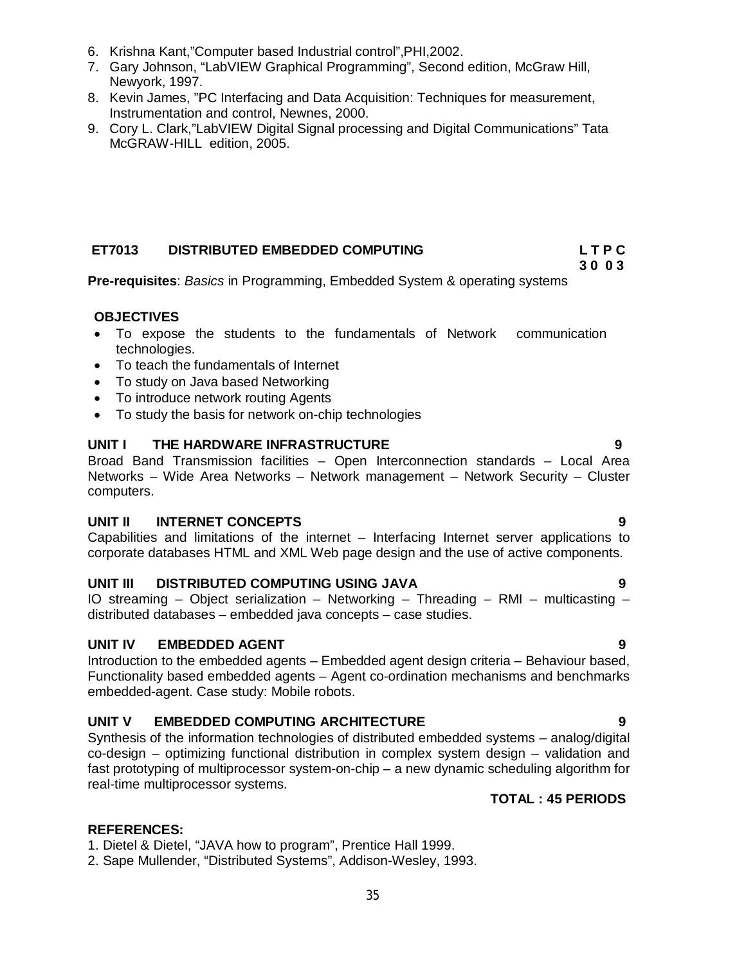- 6. Krishna Kant,"Computer based Industrial control",PHI,2002.
- 7. Gary Johnson, "LabVIEW Graphical Programming", Second edition, McGraw Hill, Newyork, 1997.
- 8. Kevin James, "PC Interfacing and Data Acquisition: Techniques for measurement, Instrumentation and control, Newnes, 2000.
- 9. Cory L. Clark,"LabVIEW Digital Signal processing and Digital Communications" Tata McGRAW-HILL edition, 2005.

# **ET7013 DISTRIBUTED EMBEDDED COMPUTING L T P C**

 **3 0 0 3 Pre-requisites**: *Basics* in Programming, Embedded System & operating systems

### **OBJECTIVES**

- To expose the students to the fundamentals of Network communication technologies.
- To teach the fundamentals of Internet
- To study on Java based Networking
- To introduce network routing Agents
- To study the basis for network on-chip technologies

# **UNIT I THE HARDWARE INFRASTRUCTURE 9**

Broad Band Transmission facilities – Open Interconnection standards – Local Area Networks – Wide Area Networks – Network management – Network Security – Cluster computers.

# **UNIT II INTERNET CONCEPTS 9**

Capabilities and limitations of the internet – Interfacing Internet server applications to corporate databases HTML and XML Web page design and the use of active components.

# **UNIT III DISTRIBUTED COMPUTING USING JAVA 9**

IO streaming – Object serialization – Networking – Threading – RMI – multicasting – distributed databases – embedded java concepts – case studies.

# **UNIT IV EMBEDDED AGENT 9**

Introduction to the embedded agents – Embedded agent design criteria – Behaviour based, Functionality based embedded agents – Agent co-ordination mechanisms and benchmarks embedded-agent. Case study: Mobile robots.

# **UNIT V EMBEDDED COMPUTING ARCHITECTURE 9**

Synthesis of the information technologies of distributed embedded systems – analog/digital co-design – optimizing functional distribution in complex system design – validation and fast prototyping of multiprocessor system-on-chip – a new dynamic scheduling algorithm for real-time multiprocessor systems.

# **TOTAL : 45 PERIODS**

- 1. Dietel & Dietel, "JAVA how to program", Prentice Hall 1999.
- 2. Sape Mullender, "Distributed Systems", Addison-Wesley, 1993.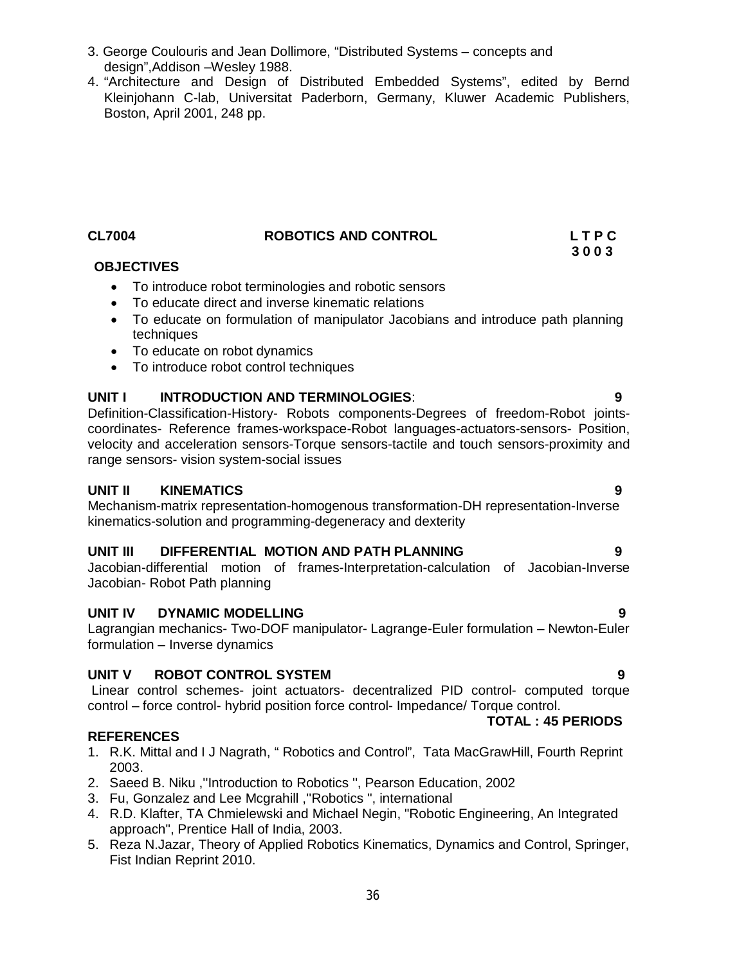4. "Architecture and Design of Distributed Embedded Systems", edited by Bernd Kleinjohann C-lab, Universitat Paderborn, Germany, Kluwer Academic Publishers, Boston, April 2001, 248 pp.

# **CL7004 ROBOTICS AND CONTROL L T P C**

# **OBJECTIVES**

- To introduce robot terminologies and robotic sensors
- To educate direct and inverse kinematic relations
- To educate on formulation of manipulator Jacobians and introduce path planning techniques
- To educate on robot dynamics
- To introduce robot control techniques

# **UNIT I INTRODUCTION AND TERMINOLOGIES**: **9**

Definition-Classification-History- Robots components-Degrees of freedom-Robot jointscoordinates- Reference frames-workspace-Robot languages-actuators-sensors- Position, velocity and acceleration sensors-Torque sensors-tactile and touch sensors-proximity and range sensors- vision system-social issues

# **UNIT II KINEMATICS 9**

Mechanism-matrix representation-homogenous transformation-DH representation-Inverse kinematics-solution and programming-degeneracy and dexterity

# **UNIT III DIFFERENTIAL MOTION AND PATH PLANNING 9**

Jacobian-differential motion of frames-Interpretation-calculation of Jacobian-Inverse Jacobian- Robot Path planning

#### **UNIT IV DYNAMIC MODELLING 9**

Lagrangian mechanics- Two-DOF manipulator- Lagrange-Euler formulation – Newton-Euler formulation – Inverse dynamics

#### **UNIT V ROBOT CONTROL SYSTEM 9**

Linear control schemes- joint actuators- decentralized PID control- computed torque control – force control- hybrid position force control- Impedance/ Torque control.

# **REFERENCES**

- 1. R.K. Mittal and I J Nagrath, " Robotics and Control", Tata MacGrawHill, Fourth Reprint 2003.
- 2. Saeed B. Niku ,''Introduction to Robotics '', Pearson Education, 2002
- 3. Fu, Gonzalez and Lee Mcgrahill ,''Robotics ", international
- 4. R.D. Klafter, TA Chmielewski and Michael Negin, "Robotic Engineering, An Integrated approach", Prentice Hall of India, 2003.
- 5. Reza N.Jazar, Theory of Applied Robotics Kinematics, Dynamics and Control, Springer, Fist Indian Reprint 2010.

**TOTAL : 45 PERIODS** 

 **3 0 0 3**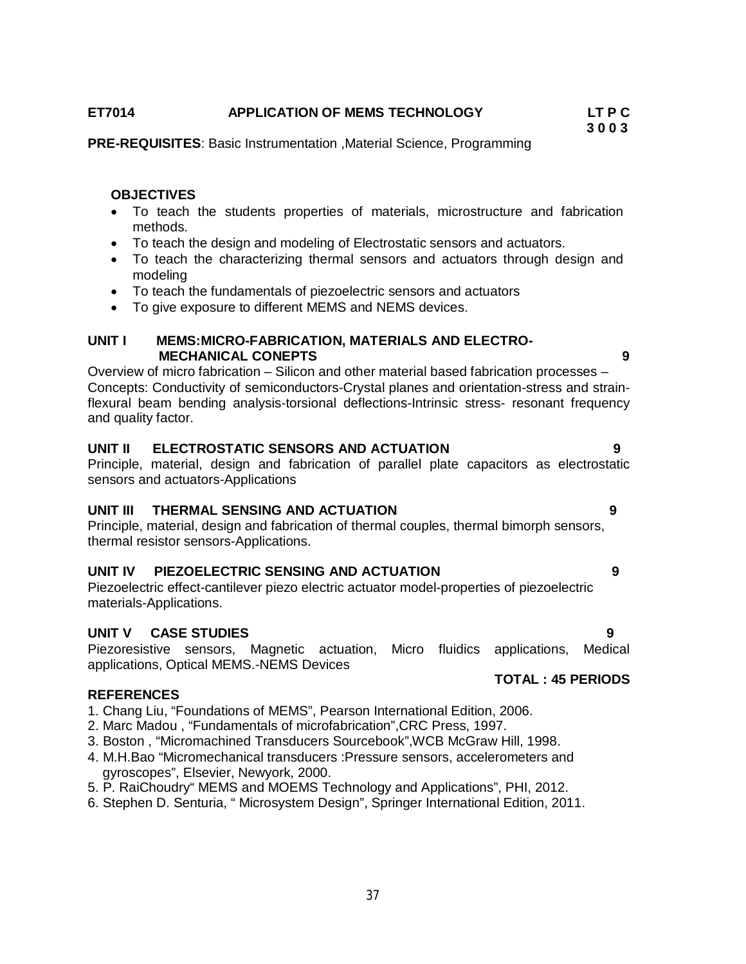# **ET7014 APPLICATION OF MEMS TECHNOLOGY LT P C**

#### **3 0 0 3 PRE-REQUISITES**: Basic Instrumentation ,Material Science, Programming

### **OBJECTIVES**

- To teach the students properties of materials, microstructure and fabrication methods.
- To teach the design and modeling of Electrostatic sensors and actuators.
- To teach the characterizing thermal sensors and actuators through design and modeling
- To teach the fundamentals of piezoelectric sensors and actuators
- To give exposure to different MEMS and NEMS devices.

# **UNIT I MEMS:MICRO-FABRICATION, MATERIALS AND ELECTRO- MECHANICAL CONEPTS 9**

Overview of micro fabrication – Silicon and other material based fabrication processes – Concepts: Conductivity of semiconductors-Crystal planes and orientation-stress and strainflexural beam bending analysis-torsional deflections-Intrinsic stress- resonant frequency and quality factor.

# **UNIT II ELECTROSTATIC SENSORS AND ACTUATION 9**

Principle, material, design and fabrication of parallel plate capacitors as electrostatic sensors and actuators-Applications

#### **UNIT III THERMAL SENSING AND ACTUATION 9**

Principle, material, design and fabrication of thermal couples, thermal bimorph sensors, thermal resistor sensors-Applications.

# **UNIT IV PIEZOELECTRIC SENSING AND ACTUATION 9**

Piezoelectric effect-cantilever piezo electric actuator model-properties of piezoelectric materials-Applications.

#### **UNIT V CASE STUDIES 9**

Piezoresistive sensors, Magnetic actuation, Micro fluidics applications, Medical applications, Optical MEMS.-NEMS Devices

#### **REFERENCES**

- 1. Chang Liu, "Foundations of MEMS", Pearson International Edition, 2006.
- 2. Marc Madou , "Fundamentals of microfabrication",CRC Press, 1997.
- 3. Boston , "Micromachined Transducers Sourcebook",WCB McGraw Hill, 1998.
- 4. M.H.Bao "Micromechanical transducers :Pressure sensors, accelerometers and gyroscopes", Elsevier, Newyork, 2000.
- 5. P. RaiChoudry" MEMS and MOEMS Technology and Applications", PHI, 2012.
- 6. Stephen D. Senturia, " Microsystem Design", Springer International Edition, 2011.

# **TOTAL : 45 PERIODS**